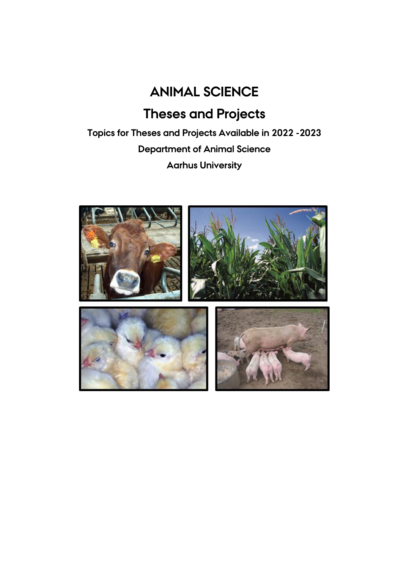# **ANIMAL SCIENCE**

# **Theses and Projects**

**Topics for Theses and Projects Available in 2022 -2023 Department of Animal Science Aarhus University**

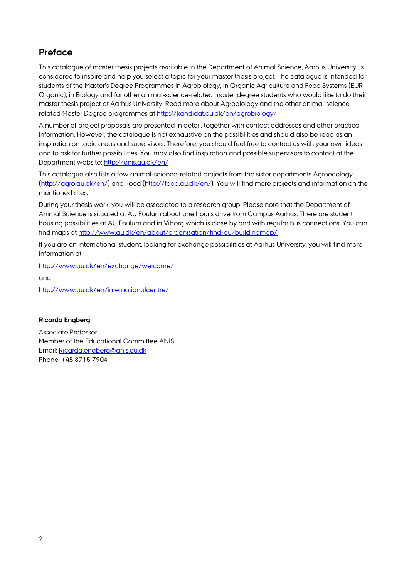# **Preface**

This catalogue of master thesis projects available in the Department of Animal Science, Aarhus University, is considered to inspire and help you select a topic for your master thesis project. The catalogue is intended for students of the Master's Degree Programmes in Agrobiology, in Organic Agriculture and Food Systems (EUR-Organic), in Biology and for other animal-science-related master degree students who would like to do their master thesis project at Aarhus University. Read more about Agrobiology and the other animal-sciencerelated Master Degree programmes a[t http://kandidat.au.dk/en/agrobiology/](http://kandidat.au.dk/en/agrobiology/)

A number of project proposals are presented in detail, together with contact addresses and other practical information. However, the catalogue is not exhaustive on the possibilities and should also be read as an inspiration on topic areas and supervisors. Therefore, you should feel free to contact us with your own ideas and to ask for further possibilities. You may also find inspiration and possible supervisors to contact at the Department website:<http://anis.au.dk/en/>

This catalogue also lists a few animal-science-related projects from the sister departments Agroecology [\(http://agro.au.dk/en/\)](http://agro.au.dk/en/) and Food [\(http://food.au.dk/en/\)](http://food.au.dk/en/). You will find more projects and information on the mentioned sites.

During your thesis work, you will be associated to a research group. Please note that the Department of Animal Science is situated at AU Foulum about one hour's drive from Campus Aarhus. There are student housing possibilities at AU Foulum and in Viborg which is close by and with regular bus connections. You can find maps at<http://www.au.dk/en/about/organisation/find-au/buildingmap/>

If you are an international student, looking for exchange possibilities at Aarhus University, you will find more information at

<http://www.au.dk/en/exchange/welcome/>

and

<http://www.au.dk/en/internationalcentre/>

# **Ricarda Engberg**

Associate Professor Member of the Educational Committee ANIS Email: [Ricarda.engberg@anis.au.dk](mailto:Ricarda.engberg@anis.au.dk) Phone: +45 8715 7904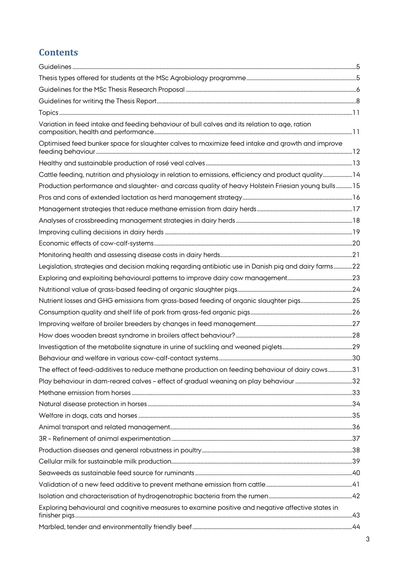# **Contents**

| Variation in feed intake and feeding behaviour of bull calves and its relation to age, ration        |  |
|------------------------------------------------------------------------------------------------------|--|
| Optimised feed bunker space for slaughter calves to maximize feed intake and growth and improve      |  |
|                                                                                                      |  |
| Cattle feeding, nutrition and physiology in relation to emissions, efficiency and product quality 14 |  |
| Production performance and slaughter- and carcass quality of heavy Holstein Friesian young bulls15   |  |
|                                                                                                      |  |
|                                                                                                      |  |
|                                                                                                      |  |
|                                                                                                      |  |
|                                                                                                      |  |
|                                                                                                      |  |
| Legislation, strategies and decision making regarding antibiotic use in Danish pig and dairy farms22 |  |
|                                                                                                      |  |
|                                                                                                      |  |
|                                                                                                      |  |
|                                                                                                      |  |
|                                                                                                      |  |
|                                                                                                      |  |
|                                                                                                      |  |
|                                                                                                      |  |
| The effect of feed-additives to reduce methane production on feeding behaviour of dairy cows31       |  |
|                                                                                                      |  |
|                                                                                                      |  |
|                                                                                                      |  |
|                                                                                                      |  |
|                                                                                                      |  |
|                                                                                                      |  |
|                                                                                                      |  |
|                                                                                                      |  |
|                                                                                                      |  |
|                                                                                                      |  |
|                                                                                                      |  |
| Exploring behavioural and cognitive measures to examine positive and negative affective states in    |  |
|                                                                                                      |  |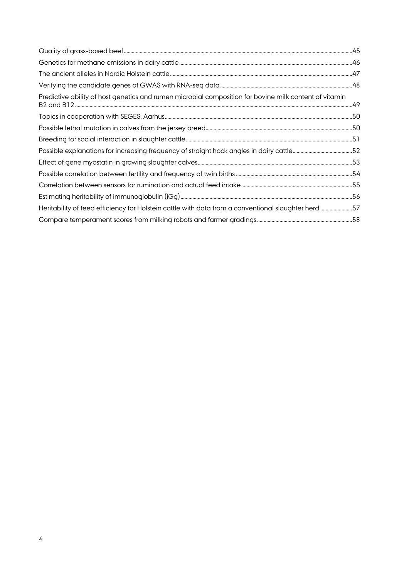| Predictive ability of host genetics and rumen microbial composition for bovine milk content of vitamin |  |
|--------------------------------------------------------------------------------------------------------|--|
|                                                                                                        |  |
|                                                                                                        |  |
|                                                                                                        |  |
|                                                                                                        |  |
|                                                                                                        |  |
|                                                                                                        |  |
|                                                                                                        |  |
|                                                                                                        |  |
| Heritability of feed efficiency for Holstein cattle with data from a conventional slaughter herd57     |  |
|                                                                                                        |  |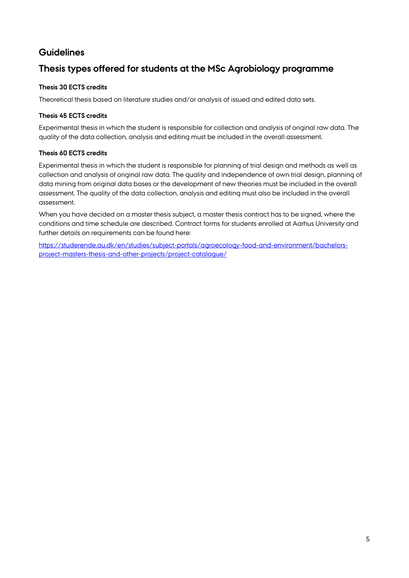# <span id="page-4-0"></span>**Guidelines**

# <span id="page-4-1"></span>**Thesis types offered for students at the MSc Agrobiology programme**

# **Thesis 30 ECTS credits**

Theoretical thesis based on literature studies and/or analysis of issued and edited data sets.

# **Thesis 45 ECTS credits**

Experimental thesis in which the student is responsible for collection and analysis of original raw data. The quality of the data collection, analysis and editing must be included in the overall assessment.

# **Thesis 60 ECTS credits**

Experimental thesis in which the student is responsible for planning of trial design and methods as well as collection and analysis of original raw data. The quality and independence of own trial design, planning of data mining from original data bases or the development of new theories must be included in the overall assessment. The quality of the data collection, analysis and editing must also be included in the overall assessment.

When you have decided on a master thesis subject, a master thesis contract has to be signed, where the conditions and time schedule are described. Contract forms for students enrolled at Aarhus University and further details on requirements can be found here:

[https://studerende.au.dk/en/studies/subject-portals/agroecology-food-and-environment/bachelors](https://studerende.au.dk/en/studies/subject-portals/agroecology-food-and-environment/bachelors-project-masters-thesis-and-other-projects/project-catalogue/)[project-masters-thesis-and-other-projects/project-catalogue/](https://studerende.au.dk/en/studies/subject-portals/agroecology-food-and-environment/bachelors-project-masters-thesis-and-other-projects/project-catalogue/)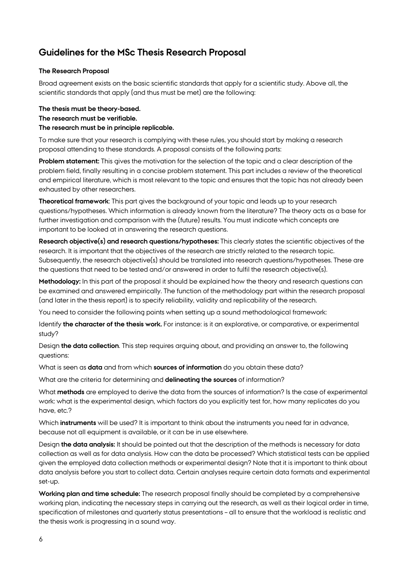# <span id="page-5-0"></span>**Guidelines for the MSc Thesis Research Proposal**

# **The Research Proposal**

Broad agreement exists on the basic scientific standards that apply for a scientific study. Above all, the scientific standards that apply (and thus must be met) are the following:

# **The thesis must be theory-based. The research must be verifiable. The research must be in principle replicable.**

To make sure that your research is complying with these rules, you should start by making a research proposal attending to these standards. A proposal consists of the following parts:

**Problem statement:** This gives the motivation for the selection of the topic and a clear description of the problem field, finally resulting in a concise problem statement. This part includes a review of the theoretical and empirical literature, which is most relevant to the topic and ensures that the topic has not already been exhausted by other researchers.

**Theoretical framework**: This part gives the background of your topic and leads up to your research questions/hypotheses. Which information is already known from the literature? The theory acts as a base for further investigation and comparison with the (future) results. You must indicate which concepts are important to be looked at in answering the research questions.

**Research objective(s) and research questions/hypotheses:** This clearly states the scientific objectives of the research. It is important that the objectives of the research are strictly related to the research topic. Subsequently, the research objective(s) should be translated into research questions/hypotheses. These are the questions that need to be tested and/or answered in order to fulfil the research objective(s).

**Methodology:** In this part of the proposal it should be explained how the theory and research questions can be examined and answered empirically. The function of the methodology part within the research proposal (and later in the thesis report) is to specify reliability, validity and replicability of the research.

You need to consider the following points when setting up a sound methodological framework:

Identify **the character of the thesis work.** For instance: is it an explorative, or comparative, or experimental study?

Design **the data collection**. This step requires arguing about, and providing an answer to, the following questions:

What is seen as **data** and from which **sources of information** do you obtain these data?

What are the criteria for determining and **delineating the sources** of information?

What **methods** are employed to derive the data from the sources of information? Is the case of experimental work: what is the experimental design, which factors do you explicitly test for, how many replicates do you have, etc.?

Which **instruments** will be used? It is important to think about the instruments you need far in advance, because not all equipment is available, or it can be in use elsewhere.

Design **the data analysis:** It should be pointed out that the description of the methods is necessary for data collection as well as for data analysis. How can the data be processed? Which statistical tests can be applied given the employed data collection methods or experimental design? Note that it is important to think about data analysis before you start to collect data. Certain analyses require certain data formats and experimental set-up.

**Working plan and time schedule:** The research proposal finally should be completed by a comprehensive working plan, indicating the necessary steps in carrying out the research, as well as their logical order in time, specification of milestones and quarterly status presentations – all to ensure that the workload is realistic and the thesis work is progressing in a sound way.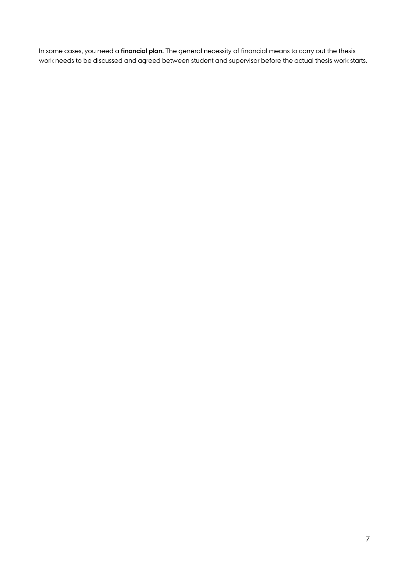In some cases, you need a **financial plan.** The general necessity of financial means to carry out the thesis work needs to be discussed and agreed between student and supervisor before the actual thesis work starts.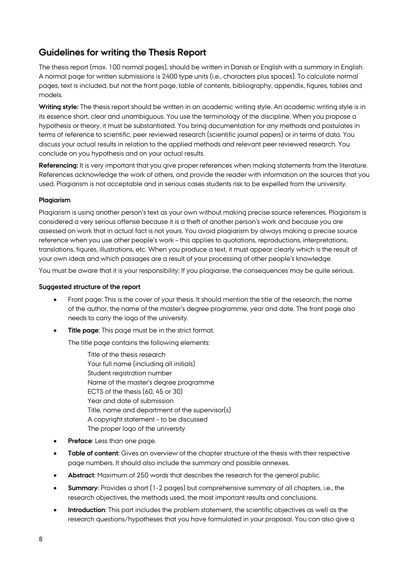# <span id="page-7-0"></span>**Guidelines for writing the Thesis Report**

The thesis report (max. 100 normal pages), should be written in Danish or English with a summary in English. A normal page for written submissions is 2400 type units (i.e., characters plus spaces). To calculate normal pages, text is included, but not the front page, table of contents, bibliography, appendix, figures, tables and models.

**Writing style:** The thesis report should be written in an academic writing style. An academic writing style is in its essence short, clear and unambiguous. You use the terminology of the discipline. When you propose a hypothesis or theory, it must be substantiated. You bring documentation for any methods and postulates in terms of reference to scientific, peer reviewed research (scientific journal papers) or in terms of data. You discuss your actual results in relation to the applied methods and relevant peer reviewed research. You conclude on you hypothesis and on your actual results.

**Referencing:** It is very important that you give proper references when making statements from the literature. References acknowledge the work of others, and provide the reader with information on the sources that you used. Plagiarism is not acceptable and in serious cases students risk to be expelled from the university.

# **Plagiarism**

Plagiarism is using another person's text as your own without making precise source references. Plagiarism is considered a very serious offense because it is a theft of another person's work and because you are assessed on work that in actual fact is not yours. You avoid plagiarism by always making a precise source reference when you use other people's work – this applies to quotations, reproductions, interpretations, translations, figures, illustrations, etc. When you produce a text, it must appear clearly which is the result of your own ideas and which passages are a result of your processing of other people's knowledge.

You must be aware that it is your responsibility: If you plagiarise, the consequences may be quite serious.

#### **Suggested structure of the report**

- Front page: This is the cover of your thesis. It should mention the title of the research, the name of the author, the name of the master's degree programme, year and date. The front page also needs to carry the logo of the university.
- **Title page:** This page must be in the strict format.

The title page contains the following elements:

Title of the thesis research Your full name (including all initials) Student registration number Name of the master's degree programme ECTS of the thesis (60, 45 or 30) Year and date of submission Title, name and department of the supervisor(s) A copyright statement – to be discussed The proper logo of the university

- **Preface:** Less than one page.
- **Table of content**: Gives an overview of the chapter structure of the thesis with their respective page numbers. It should also include the summary and possible annexes.
- **Abstract**: Maximum of 250 words that describes the research for the general public.
- **Summary**: Provides a short (1-2 pages) but comprehensive summary of all chapters, i.e., the research objectives, the methods used, the most important results and conclusions.
- **Introduction**: This part includes the problem statement, the scientific objectives as well as the research questions/hypotheses that you have formulated in your proposal. You can also give a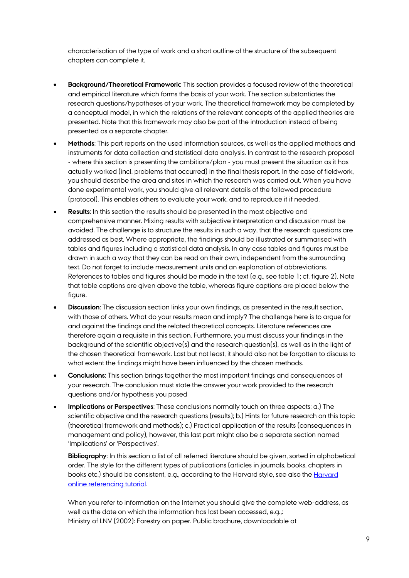characterisation of the type of work and a short outline of the structure of the subsequent chapters can complete it.

- **Background/Theoretical Framework**: This section provides a focused review of the theoretical and empirical literature which forms the basis of your work. The section substantiates the research questions/hypotheses of your work. The theoretical framework may be completed by a conceptual model, in which the relations of the relevant concepts of the applied theories are presented. Note that this framework may also be part of the introduction instead of being presented as a separate chapter.
- **Methods**: This part reports on the used information sources, as well as the applied methods and instruments for data collection and statistical data analysis. In contrast to the research proposal - where this section is presenting the ambitions/plan - you must present the situation as it has actually worked (incl. problems that occurred) in the final thesis report. In the case of fieldwork, you should describe the area and sites in which the research was carried out. When you have done experimental work, you should give all relevant details of the followed procedure (protocol). This enables others to evaluate your work, and to reproduce it if needed.
- **Results:** In this section the results should be presented in the most objective and comprehensive manner. Mixing results with subjective interpretation and discussion must be avoided. The challenge is to structure the results in such a way, that the research questions are addressed as best. Where appropriate, the findings should be illustrated or summarised with tables and figures including a statistical data analysis. In any case tables and figures must be drawn in such a way that they can be read on their own, independent from the surrounding text. Do not forget to include measurement units and an explanation of abbreviations. References to tables and figures should be made in the text (e.g., see table 1; cf. figure 2). Note that table captions are given above the table, whereas figure captions are placed below the figure.
- **Discussion**: The discussion section links your own findings, as presented in the result section, with those of others. What do your results mean and imply? The challenge here is to argue for and against the findings and the related theoretical concepts. Literature references are therefore again a requisite in this section. Furthermore, you must discuss your findings in the background of the scientific objective(s) and the research question(s), as well as in the light of the chosen theoretical framework. Last but not least, it should also not be forgotten to discuss to what extent the findings might have been influenced by the chosen methods.
- **Conclusions**: This section brings together the most important findings and consequences of your research. The conclusion must state the answer your work provided to the research questions and/or hypothesis you posed
- **Implications or Perspectives**: These conclusions normally touch on three aspects: a.) The scientific objective and the research questions (results); b.) Hints for future research on this topic (theoretical framework and methods); c.) Practical application of the results (consequences in management and policy), however, this last part might also be a separate section named 'Implications' or 'Perspectives'.

**Bibliography**: In this section a list of all referred literature should be given, sorted in alphabetical order. The style for the different types of publications (articles in journals, books, chapters in books etc.) should be consistent, e.g., according to the [Harvard](http://library.leeds.ac.uk/skills-referencing) style, see also the Harvard [online referencing tutorial.](http://library.leeds.ac.uk/skills-referencing)

When you refer to information on the Internet you should give the complete web-address, as well as the date on which the information has last been accessed, e.g.,: Ministry of LNV (2002): Forestry on paper. Public brochure, downloadable at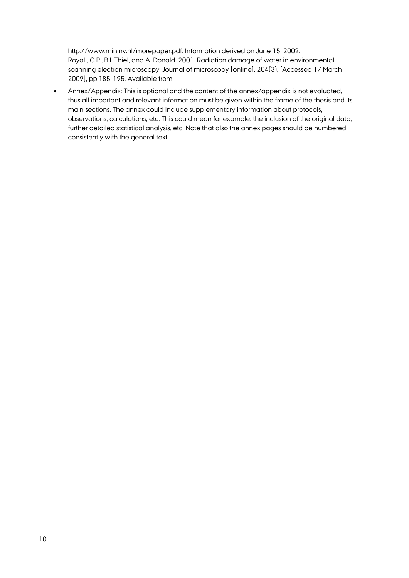http://www.minlnv.nl/morepaper.pdf. Information derived on June 15, 2002. Royall, C.P., B.L.Thiel, and A. Donald. 2001. Radiation damage of water in environmental scanning electron microscopy. Journal of microscopy [online]. 204(3), [Accessed 17 March 2009], pp.185-195. Available from:

• Annex/Appendix: This is optional and the content of the annex/appendix is not evaluated, thus all important and relevant information must be given within the frame of the thesis and its main sections. The annex could include supplementary information about protocols, observations, calculations, etc. This could mean for example: the inclusion of the original data, further detailed statistical analysis, etc. Note that also the annex pages should be numbered consistently with the general text.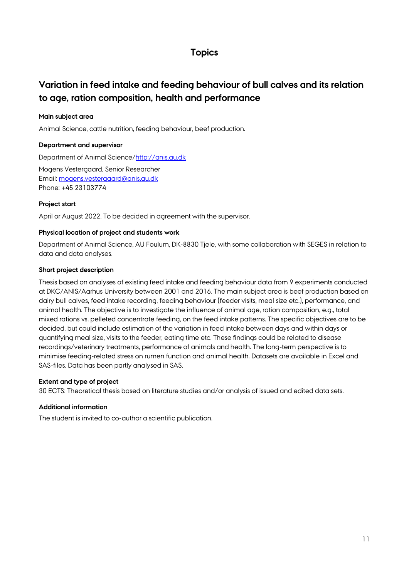# **Topics**

# <span id="page-10-1"></span><span id="page-10-0"></span>**Variation in feed intake and feeding behaviour of bull calves and its relation to age, ration composition, health and performance**

# **Main subject area**

Animal Science, cattle nutrition, feeding behaviour, beef production.

# **Department and supervisor**

Department of Animal Science[/http://anis.au.dk](http://anis.au.dk/)

Mogens Vestergaard, Senior Researcher Email: [mogens.vestergaard@anis.au.dk](mailto:mogens.vestergaard@anis.au.dk) Phone: +45 23103774

# **Project start**

April or August 2022. To be decided in agreement with the supervisor.

# **Physical location of project and students work**

Department of Animal Science, AU Foulum, DK-8830 Tjele, with some collaboration with SEGES in relation to data and data analyses.

# **Short project description**

Thesis based on analyses of existing feed intake and feeding behaviour data from 9 experiments conducted at DKC/ANIS/Aarhus University between 2001 and 2016. The main subject area is beef production based on dairy bull calves, feed intake recording, feeding behaviour (feeder visits, meal size etc.), performance, and animal health. The objective is to investigate the influence of animal age, ration composition, e.g., total mixed rations vs. pelleted concentrate feeding, on the feed intake patterns. The specific objectives are to be decided, but could include estimation of the variation in feed intake between days and within days or quantifying meal size, visits to the feeder, eating time etc. These findings could be related to disease recordings/veterinary treatments, performance of animals and health. The long-term perspective is to minimise feeding-related stress on rumen function and animal health. Datasets are available in Excel and SAS-files. Data has been partly analysed in SAS.

# **Extent and type of project**

30 ECTS: Theoretical thesis based on literature studies and/or analysis of issued and edited data sets.

# **Additional information**

The student is invited to co-author a scientific publication.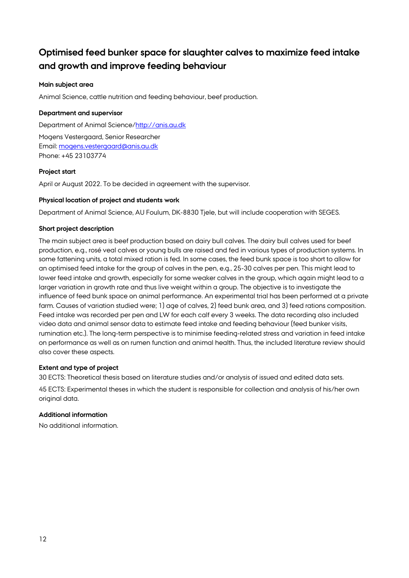# <span id="page-11-0"></span>**Optimised feed bunker space for slaughter calves to maximize feed intake and growth and improve feeding behaviour**

# **Main subject area**

Animal Science, cattle nutrition and feeding behaviour, beef production.

# **Department and supervisor**

Department of Animal Science[/http://anis.au.dk](http://anis.au.dk/)

Mogens Vestergaard, Senior Researcher Email: [mogens.vestergaard@anis.au.dk](mailto:mogens.vestergaard@anis.au.dk) Phone: +45 23103774

# **Project start**

April or August 2022. To be decided in agreement with the supervisor.

# **Physical location of project and students work**

Department of Animal Science, AU Foulum, DK-8830 Tjele, but will include cooperation with SEGES.

# **Short project description**

The main subject area is beef production based on dairy bull calves. The dairy bull calves used for beef production, e.g., rosé veal calves or young bulls are raised and fed in various types of production systems. In some fattening units, a total mixed ration is fed. In some cases, the feed bunk space is too short to allow for an optimised feed intake for the group of calves in the pen, e.g., 25-30 calves per pen. This might lead to lower feed intake and growth, especially for some weaker calves in the group, which again might lead to a larger variation in growth rate and thus live weight within a group. The objective is to investigate the influence of feed bunk space on animal performance. An experimental trial has been performed at a private farm. Causes of variation studied were; 1) age of calves, 2) feed bunk area, and 3) feed rations composition. Feed intake was recorded per pen and LW for each calf every 3 weeks. The data recording also included video data and animal sensor data to estimate feed intake and feeding behaviour (feed bunker visits, rumination etc.). The long-term perspective is to minimise feeding-related stress and variation in feed intake on performance as well as on rumen function and animal health. Thus, the included literature review should also cover these aspects.

# **Extent and type of project**

30 ECTS: Theoretical thesis based on literature studies and/or analysis of issued and edited data sets. 45 ECTS: Experimental theses in which the student is responsible for collection and analysis of his/her own original data.

# **Additional information**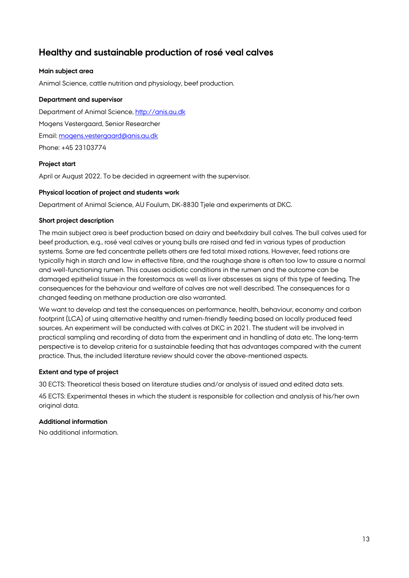# <span id="page-12-0"></span>**Healthy and sustainable production of rosé veal calves**

# **Main subject area**

Animal Science, cattle nutrition and physiology, beef production.

# **Department and supervisor**

Department of Animal Science, [http://anis.au.dk](http://anis.au.dk/) Mogens Vestergaard, Senior Researcher Email: [mogens.vestergaard@anis.au.dk](mailto:mogens.vestergaard@anis.au.dk) Phone: +45 23103774

# **Project start**

April or August 2022. To be decided in agreement with the supervisor.

# **Physical location of project and students work**

Department of Animal Science, AU Foulum, DK-8830 Tjele and experiments at DKC.

# **Short project description**

The main subject area is beef production based on dairy and beefxdairy bull calves. The bull calves used for beef production, e.g., rosé veal calves or young bulls are raised and fed in various types of production systems. Some are fed concentrate pellets others are fed total mixed rations. However, feed rations are typically high in starch and low in effective fibre, and the roughage share is often too low to assure a normal and well-functioning rumen. This causes acidiotic conditions in the rumen and the outcome can be damaged epithelial tissue in the forestomacs as well as liver abscesses as signs of this type of feeding. The consequences for the behaviour and welfare of calves are not well described. The consequences for a changed feeding on methane production are also warranted.

We want to develop and test the consequences on performance, health, behaviour, economy and carbon footprint (LCA) of using alternative healthy and rumen-friendly feeding based on locally produced feed sources. An experiment will be conducted with calves at DKC in 2021. The student will be involved in practical sampling and recording of data from the experiment and in handling of data etc. The long-term perspective is to develop criteria for a sustainable feeding that has advantages compared with the current practice. Thus, the included literature review should cover the above-mentioned aspects.

# **Extent and type of project**

30 ECTS: Theoretical thesis based on literature studies and/or analysis of issued and edited data sets.

45 ECTS: Experimental theses in which the student is responsible for collection and analysis of his/her own original data.

# **Additional information**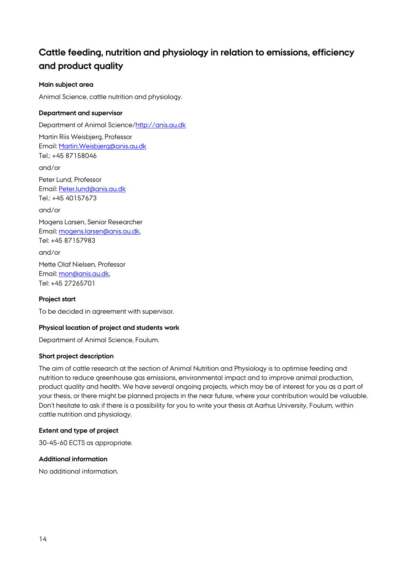# <span id="page-13-0"></span>**Cattle feeding, nutrition and physiology in relation to emissions, efficiency and product quality**

# **Main subject area**

Animal Science, cattle nutrition and physiology.

# **Department and supervisor**

Department of Animal Science[/http://anis.au.dk](http://anis.au.dk/)

Martin Riis Weisbjerg, Professor Email: [Martin.Weisbjerg@anis.au.dk](mailto:Martin.Weisbjerg@anis.au.dk) Tel.: +45 87158046

and/or

Peter Lund, Professor Email: [Peter.lund@anis.au.dk](mailto:Peter.lund@anis.au.dk) Tel.: +45 40157673

and/or

Mogens Larsen, Senior Researcher Email: [mogens.larsen@anis.au.dk,](mailto:mogens.larsen@anis.au.dk)  Tel: +45 87157983

and/or Mette Olaf Nielsen, Professor Email: [mon@anis.au.dk,](mailto:mon@anis.au.dk)  Tel: +45 27265701

# **Project start**

To be decided in agreement with supervisor.

# **Physical location of project and students work**

Department of Animal Science, Foulum.

# **Short project description**

The aim of cattle research at the section of Animal Nutrition and Physiology is to optimise feeding and nutrition to reduce greenhouse gas emissions, environmental impact and to improve animal production, product quality and health. We have several ongoing projects, which may be of interest for you as a part of your thesis, or there might be planned projects in the near future, where your contribution would be valuable. Don't hesitate to ask if there is a possibility for you to write your thesis at Aarhus University, Foulum, within cattle nutrition and physiology.

# **Extent and type of project**

30-45-60 ECTS as appropriate.

# **Additional information**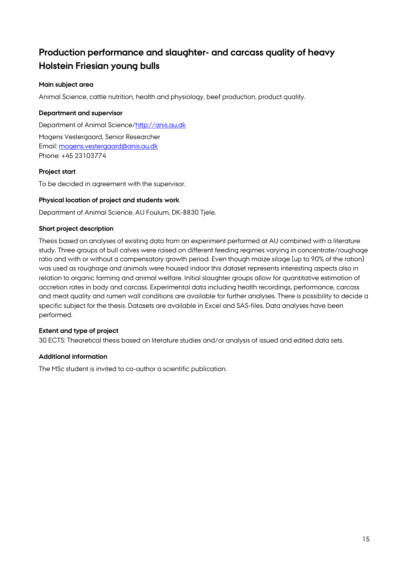# <span id="page-14-0"></span>**Production performance and slaughter- and carcass quality of heavy Holstein Friesian young bulls**

# **Main subject area**

Animal Science, cattle nutrition, health and physiology, beef production, product quality.

# **Department and supervisor**

Department of Animal Science[/http://anis.au.dk](http://anis.au.dk/)

Mogens Vestergaard, Senior Researcher Email: [mogens.vestergaard@anis.au.dk](mailto:mogens.vestergaard@anis.au.dk) Phone: +45 23103774

# **Project start**

To be decided in agreement with the supervisor.

# **Physical location of project and students work**

Department of Animal Science, AU Foulum, DK-8830 Tjele.

# **Short project description**

Thesis based on analyses of existing data from an experiment performed at AU combined with a literature study. Three groups of bull calves were raised on different feeding regimes varying in concentrate/roughage ratio and with or without a compensatory growth period. Even though maize silage (up to 90% of the ration) was used as roughage and animals were housed indoor this dataset represents interesting aspects also in relation to organic farming and animal welfare. Initial slaughter groups allow for quantitative estimation of accretion rates in body and carcass. Experimental data including health recordings, performance, carcass and meat quality and rumen wall conditions are available for further analyses. There is possibility to decide a specific subject for the thesis. Datasets are available in Excel and SAS-files. Data analyses have been performed.

# **Extent and type of project**

30 ECTS: Theoretical thesis based on literature studies and/or analysis of issued and edited data sets.

# **Additional information**

The MSc student is invited to co-author a scientific publication.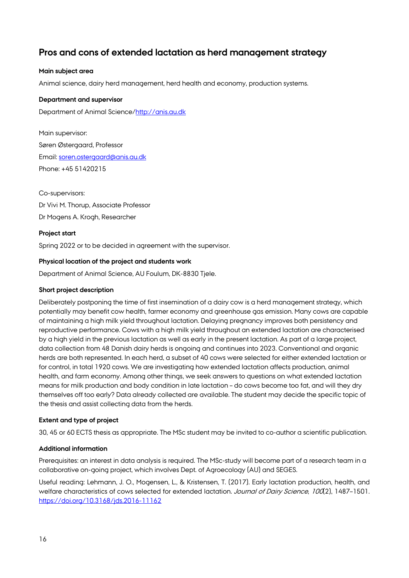# <span id="page-15-0"></span>**Pros and cons of extended lactation as herd management strategy**

# **Main subject area**

Animal science, dairy herd management, herd health and economy, production systems.

#### **Department and supervisor**

Department of Animal Science[/http://anis.au.dk](http://anis.au.dk/)

Main supervisor: Søren Østergaard, Professor Email: [soren.ostergaard@anis.au.dk](mailto:soren.ostergaard@anis.au.dk) Phone: +45 51420215

Co-supervisors: Dr Vivi M. Thorup, Associate Professor Dr Mogens A. Krogh, Researcher

#### **Project start**

Spring 2022 or to be decided in agreement with the supervisor.

#### **Physical location of the project and students work**

Department of Animal Science, AU Foulum, DK-8830 Tjele.

#### **Short project description**

Deliberately postponing the time of first insemination of a dairy cow is a herd management strategy, which potentially may benefit cow health, farmer economy and greenhouse gas emission. Many cows are capable of maintaining a high milk yield throughout lactation. Delaying pregnancy improves both persistency and reproductive performance. Cows with a high milk yield throughout an extended lactation are characterised by a high yield in the previous lactation as well as early in the present lactation. As part of a large project, data collection from 48 Danish dairy herds is ongoing and continues into 2023. Conventional and organic herds are both represented. In each herd, a subset of 40 cows were selected for either extended lactation or for control, in total 1920 cows. We are investigating how extended lactation affects production, animal health, and farm economy. Among other things, we seek answers to questions on what extended lactation means for milk production and body condition in late lactation – do cows become too fat, and will they dry themselves off too early? Data already collected are available. The student may decide the specific topic of the thesis and assist collecting data from the herds.

# **Extent and type of project**

30, 45 or 60 ECTS thesis as appropriate. The MSc student may be invited to co-author a scientific publication.

# **Additional information**

Prerequisites: an interest in data analysis is required. The MSc-study will become part of a research team in a collaborative on-going project, which involves Dept. of Agroecology (AU) and SEGES.

Useful reading: Lehmann, J. O., Mogensen, L., & Kristensen, T. (2017). Early lactation production, health, and welfare characteristics of cows selected for extended lactation. Journal of Dairy Science, 100(2), 1487-1501. <https://doi.org/10.3168/jds.2016-11162>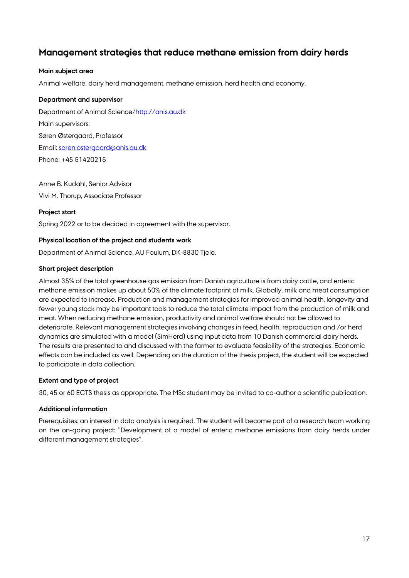# <span id="page-16-0"></span>**Management strategies that reduce methane emission from dairy herds**

# **Main subject area**

Animal welfare, dairy herd management, methane emission, herd health and economy.

#### **Department and supervisor**

Department of Animal Science/http://anis.au.dk Main supervisors: Søren Østergaard, Professor Email: [soren.ostergaard@anis.au.dk](mailto:soren.ostergaard@anis.au.dk) Phone: +45 51420215

Anne B. Kudahl, Senior Advisor Vivi M. Thorup, Associate Professor

# **Project start**

Spring 2022 or to be decided in agreement with the supervisor.

# **Physical location of the project and students work**

Department of Animal Science, AU Foulum, DK-8830 Tjele.

#### **Short project description**

Almost 35% of the total greenhouse gas emission from Danish agriculture is from dairy cattle, and enteric methane emission makes up about 50% of the climate footprint of milk. Globally, milk and meat consumption are expected to increase. Production and management strategies for improved animal health, longevity and fewer young stock may be important tools to reduce the total climate impact from the production of milk and meat. When reducing methane emission, productivity and animal welfare should not be allowed to deteriorate. Relevant management strategies involving changes in feed, health, reproduction and /or herd dynamics are simulated with a model (SimHerd) using input data from 10 Danish commercial dairy herds. The results are presented to and discussed with the farmer to evaluate feasibility of the strategies. Economic effects can be included as well. Depending on the duration of the thesis project, the student will be expected to participate in data collection.

# **Extent and type of project**

30, 45 or 60 ECTS thesis as appropriate. The MSc student may be invited to co-author a scientific publication.

#### **Additional information**

Prerequisites: an interest in data analysis is required. The student will become part of a research team working on the on-going project: "Development of a model of enteric methane emissions from dairy herds under different management strategies".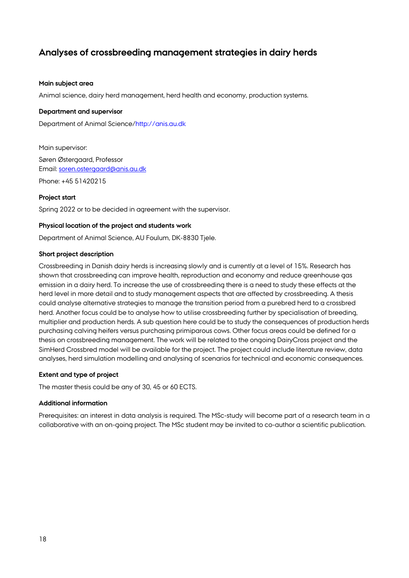# <span id="page-17-0"></span>**Analyses of crossbreeding management strategies in dairy herds**

#### **Main subject area**

Animal science, dairy herd management, herd health and economy, production systems.

#### **Department and supervisor**

Department of Animal Science/http://anis.au.dk

Main supervisor: Søren Østergaard, Professor Email: [soren.ostergaard@anis.au.dk](mailto:soren.ostergaard@anis.au.dk) Phone: +45 51420215

#### **Project start**

Spring 2022 or to be decided in agreement with the supervisor.

#### **Physical location of the project and students work**

Department of Animal Science, AU Foulum, DK-8830 Tjele.

#### **Short project description**

Crossbreeding in Danish dairy herds is increasing slowly and is currently at a level of 15%. Research has shown that crossbreeding can improve health, reproduction and economy and reduce greenhouse gas emission in a dairy herd. To increase the use of crossbreeding there is a need to study these effects at the herd level in more detail and to study management aspects that are affected by crossbreeding. A thesis could analyse alternative strategies to manage the transition period from a purebred herd to a crossbred herd. Another focus could be to analyse how to utilise crossbreeding further by specialisation of breeding, multiplier and production herds. A sub question here could be to study the consequences of production herds purchasing calving heifers versus purchasing primiparous cows. Other focus areas could be defined for a thesis on crossbreeding management. The work will be related to the ongoing DairyCross project and the SimHerd Crossbred model will be available for the project. The project could include literature review, data analyses, herd simulation modelling and analysing of scenarios for technical and economic consequences.

#### **Extent and type of project**

The master thesis could be any of 30, 45 or 60 ECTS.

#### **Additional information**

Prerequisites: an interest in data analysis is required. The MSc-study will become part of a research team in a collaborative with an on-going project. The MSc student may be invited to co-author a scientific publication.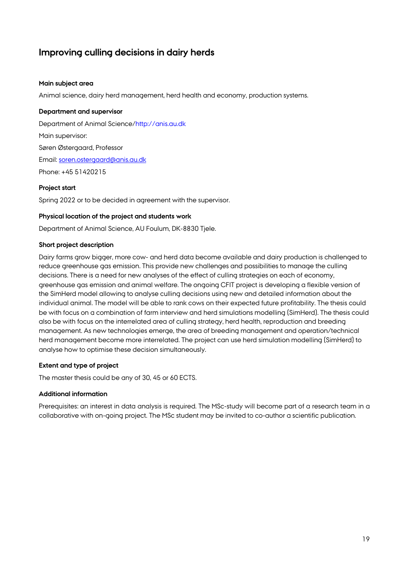# <span id="page-18-0"></span>**Improving culling decisions in dairy herds**

# **Main subject area**

Animal science, dairy herd management, herd health and economy, production systems.

#### **Department and supervisor**

Department of Animal Science/http://anis.au.dk Main supervisor: Søren Østergaard, Professor Email: [soren.ostergaard@anis.au.dk](mailto:soren.ostergaard@anis.au.dk) Phone: +45 51420215

#### **Project start**

Spring 2022 or to be decided in agreement with the supervisor.

#### **Physical location of the project and students work**

Department of Animal Science, AU Foulum, DK-8830 Tjele.

#### **Short project description**

Dairy farms grow bigger, more cow- and herd data become available and dairy production is challenged to reduce greenhouse gas emission. This provide new challenges and possibilities to manage the culling decisions. There is a need for new analyses of the effect of culling strategies on each of economy, greenhouse gas emission and animal welfare. The ongoing CFIT project is developing a flexible version of the SimHerd model allowing to analyse culling decisions using new and detailed information about the individual animal. The model will be able to rank cows on their expected future profitability. The thesis could be with focus on a combination of farm interview and herd simulations modelling (SimHerd). The thesis could also be with focus on the interrelated area of culling strategy, herd health, reproduction and breeding management. As new technologies emerge, the area of breeding management and operation/technical herd management become more interrelated. The project can use herd simulation modelling (SimHerd) to analyse how to optimise these decision simultaneously.

# **Extent and type of project**

The master thesis could be any of 30, 45 or 60 ECTS.

#### **Additional information**

Prerequisites: an interest in data analysis is required. The MSc-study will become part of a research team in a collaborative with on-going project. The MSc student may be invited to co-author a scientific publication.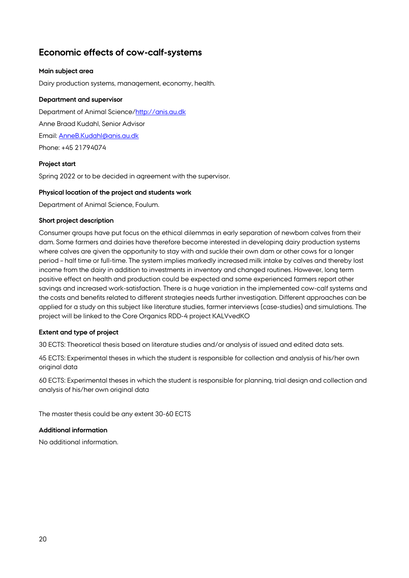# <span id="page-19-0"></span>**Economic effects of cow-calf-systems**

# **Main subject area**

Dairy production systems, management, economy, health.

# **Department and supervisor**

Department of Animal Science[/http://anis.au.dk](http://anis.au.dk/) Anne Braad Kudahl, Senior Advisor Email: [AnneB.Kudahl@anis.au.dk](mailto:AnneB.Kudahl@anis.au.dk) Phone: +45 21794074

# **Project start**

Spring 2022 or to be decided in agreement with the supervisor.

# **Physical location of the project and students work**

Department of Animal Science, Foulum.

# **Short project description**

Consumer groups have put focus on the ethical dilemmas in early separation of newborn calves from their dam. Some farmers and dairies have therefore become interested in developing dairy production systems where calves are given the opportunity to stay with and suckle their own dam or other cows for a longer period – half time or full-time. The system implies markedly increased milk intake by calves and thereby lost income from the dairy in addition to investments in inventory and changed routines. However, long term positive effect on health and production could be expected and some experienced farmers report other savings and increased work-satisfaction. There is a huge variation in the implemented cow-calf systems and the costs and benefits related to different strategies needs further investigation. Different approaches can be applied for a study on this subject like literature studies, farmer interviews (case-studies) and simulations. The project will be linked to the Core Organics RDD-4 project KALVvedKO

# **Extent and type of project**

30 ECTS: Theoretical thesis based on literature studies and/or analysis of issued and edited data sets.

45 ECTS: Experimental theses in which the student is responsible for collection and analysis of his/her own original data

60 ECTS: Experimental theses in which the student is responsible for planning, trial design and collection and analysis of his/her own original data

The master thesis could be any extent 30-60 ECTS

# **Additional information**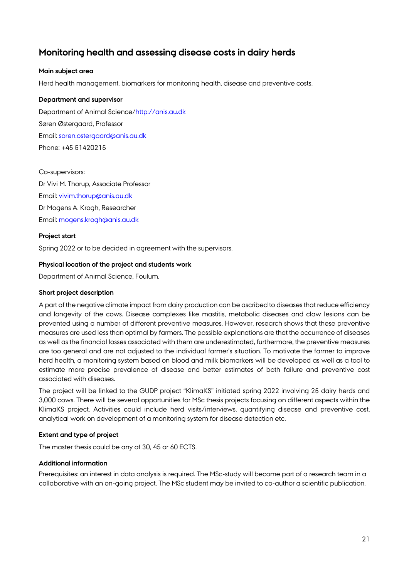# <span id="page-20-0"></span>**Monitoring health and assessing disease costs in dairy herds**

# **Main subject area**

Herd health management, biomarkers for monitoring health, disease and preventive costs.

#### **Department and supervisor**

Department of Animal Science[/http://anis.au.dk](http://anis.au.dk/) Søren Østergaard, Professor Email: [soren.ostergaard@anis.au.dk](mailto:soren.ostergaard@anis.au.dk) Phone: +45 51420215

#### Co-supervisors:

Dr Vivi M. Thorup, Associate Professor Email: [vivim.thorup@anis.au.dk](mailto:vivim.thorup@anis.au.dk) Dr Mogens A. Krogh, Researcher Email: [mogens.krogh@anis.au.dk](mailto:mogens.krogh@anis.au.dk)

#### **Project start**

Spring 2022 or to be decided in agreement with the supervisors.

#### **Physical location of the project and students work**

Department of Animal Science, Foulum.

#### **Short project description**

A part of the negative climate impact from dairy production can be ascribed to diseases that reduce efficiency and longevity of the cows. Disease complexes like mastitis, metabolic diseases and claw lesions can be prevented using a number of different preventive measures. However, research shows that these preventive measures are used less than optimal by farmers. The possible explanations are that the occurrence of diseases as well as the financial losses associated with them are underestimated, furthermore, the preventive measures are too general and are not adjusted to the individual farmer's situation. To motivate the farmer to improve herd health, a monitoring system based on blood and milk biomarkers will be developed as well as a tool to estimate more precise prevalence of disease and better estimates of both failure and preventive cost associated with diseases.

The project will be linked to the GUDP project "KlimaKS" initiated spring 2022 involving 25 dairy herds and 3,000 cows. There will be several opportunities for MSc thesis projects focusing on different aspects within the KlimaKS project. Activities could include herd visits/interviews, quantifying disease and preventive cost, analytical work on development of a monitoring system for disease detection etc.

# **Extent and type of project**

The master thesis could be any of 30, 45 or 60 ECTS.

# **Additional information**

Prerequisites: an interest in data analysis is required. The MSc-study will become part of a research team in a collaborative with an on-going project. The MSc student may be invited to co-author a scientific publication.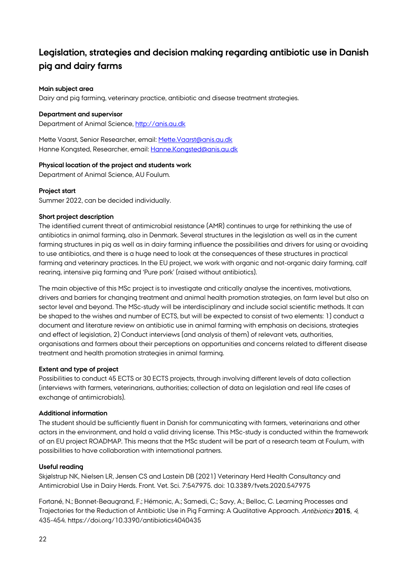# <span id="page-21-0"></span>**Legislation, strategies and decision making regarding antibiotic use in Danish pig and dairy farms**

# **Main subject area**

Dairy and pig farming, veterinary practice, antibiotic and disease treatment strategies.

# **Department and supervisor**

Department of Animal Science, [http://anis.au.dk](http://anis.au.dk/)

Mette Vaarst, Senior Researcher, email[: Mette.Vaarst@anis.au.dk](mailto:Mette.Vaarst@anis.au.dk) Hanne Kongsted, Researcher, email: [Hanne.Kongsted@anis.au.dk](mailto:Hanne.Kongsted@anis.au.dk)

# **Physical location of the project and students work**

Department of Animal Science, AU Foulum.

# **Project start**

Summer 2022, can be decided individually.

# **Short project description**

The identified current threat of antimicrobial resistance (AMR) continues to urge for rethinking the use of antibiotics in animal farming, also in Denmark. Several structures in the legislation as well as in the current farming structures in pig as well as in dairy farming influence the possibilities and drivers for using or avoiding to use antibiotics, and there is a huge need to look at the consequences of these structures in practical farming and veterinary practices. In the EU project, we work with organic and not-organic dairy farming, calf rearing, intensive pig farming and 'Pure pork' (raised without antibiotics).

The main objective of this MSc project is to investigate and critically analyse the incentives, motivations, drivers and barriers for changing treatment and animal health promotion strategies, on farm level but also on sector level and beyond. The MSc-study will be interdisciplinary and include social scientific methods. It can be shaped to the wishes and number of ECTS, but will be expected to consist of two elements: 1) conduct a document and literature review on antibiotic use in animal farming with emphasis on decisions, strategies and effect of legislation, 2) Conduct interviews (and analysis of them) of relevant vets, authorities, organisations and farmers about their perceptions on opportunities and concerns related to different disease treatment and health promotion strategies in animal farming.

# **Extent and type of project**

Possibilities to conduct 45 ECTS or 30 ECTS projects, through involving different levels of data collection (interviews with farmers, veterinarians, authorities; collection of data on legislation and real life cases of exchange of antimicrobials).

# **Additional information**

The student should be sufficiently fluent in Danish for communicating with farmers, veterinarians and other actors in the environment, and hold a valid driving license. This MSc-study is conducted within the framework of an EU project ROADMAP. This means that the MSc student will be part of a research team at Foulum, with possibilities to have collaboration with international partners.

# **Useful reading**

Skjølstrup NK, Nielsen LR, Jensen CS and Lastein DB (2021) Veterinary Herd Health Consultancy and Antimicrobial Use in Dairy Herds. Front. Vet. Sci. 7:547975. doi: 10.3389/fvets.2020.547975

Fortané, N.; Bonnet-Beaugrand, F.; Hémonic, A.; Samedi, C.; Savy, A.; Belloc, C. Learning Processes and Trajectories for the Reduction of Antibiotic Use in Pig Farming: A Qualitative Approach. Antibiotics **2015**, <sup>4</sup>, 435-454. https://doi.org/10.3390/antibiotics4040435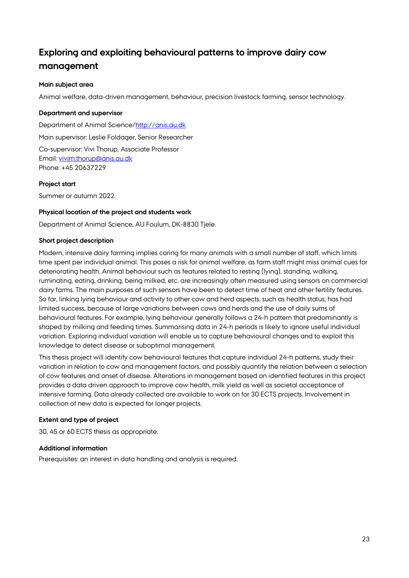# <span id="page-22-0"></span>**Exploring and exploiting behavioural patterns to improve dairy cow management**

# **Main subject area**

Animal welfare, data-driven management, behaviour, precision livestock farming, sensor technology.

#### **Department and supervisor**

Department of Animal Science[/http://anis.au.dk](http://anis.au.dk/)

Main supervisor: Leslie Foldager, Senior Researcher

Co-supervisor: Vivi Thorup, Associate Professor Email: [vivim.thorup@anis.au.dk](mailto:vivim.thorup@anis.au.dk) Phone: +45 20637229

#### **Project start**

Summer or autumn 2022.

#### **Physical location of the project and students work**

Department of Animal Science, AU Foulum, DK-8830 Tjele.

#### **Short project description**

Modern, intensive dairy farming implies caring for many animals with a small number of staff, which limits time spent per individual animal. This poses a risk for animal welfare, as farm staff might miss animal cues for deteriorating health. Animal behaviour such as features related to resting (lying), standing, walking, ruminating, eating, drinking, being milked, etc. are increasingly often measured using sensors on commercial dairy farms. The main purposes of such sensors have been to detect time of heat and other fertility features. So far, linking lying behaviour and activity to other cow and herd aspects, such as health status, has had limited success, because of large variations between cows and herds and the use of daily sums of behavioural features. For example, lying behaviour generally follows a 24-h pattern that predominantly is shaped by milking and feeding times. Summarising data in 24-h periods is likely to ignore useful individual variation. Exploring individual variation will enable us to capture behavioural changes and to exploit this knowledge to detect disease or suboptimal management.

This thesis project will identify cow behavioural features that capture individual 24-h patterns, study their variation in relation to cow and management factors, and possibly quantify the relation between a selection of cow features and onset of disease. Alterations in management based on identified features in this project provides a data driven approach to improve cow health, milk yield as well as societal acceptance of intensive farming. Data already collected are available to work on for 30 ECTS projects. Involvement in collection of new data is expected for longer projects.

# **Extent and type of project**

30, 45 or 60 ECTS thesis as appropriate.

#### **Additional information**

Prerequisites: an interest in data handling and analysis is required.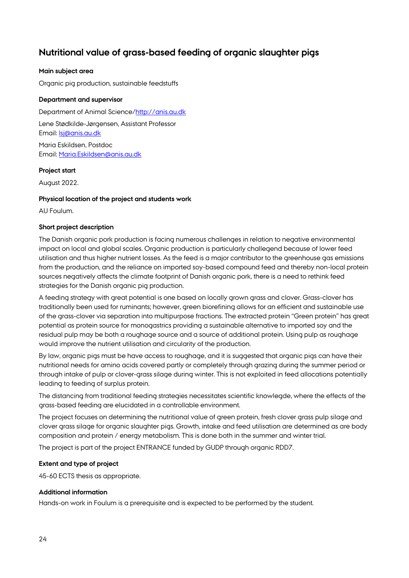# <span id="page-23-0"></span>**Nutritional value of grass-based feeding of organic slaughter pigs**

# **Main subject area**

Organic pig production, sustainable feedstuffs

# **Department and supervisor**

Department of Animal Science[/http://anis.au.dk](http://anis.au.dk/)

Lene Stødkilde-Jørgensen, Assistant Professor Email: [lsj@anis.au.dk](mailto:lsj@anis.au.dk)

Maria Eskildsen, Postdoc Email: [Maria.Eskildsen@anis.au.dk](mailto:Maria.Eskildsen@anis.au.dk)

# **Project start**

August 2022.

# **Physical location of the project and students work**

AU Foulum.

# **Short project description**

The Danish organic pork production is facing numerous challenges in relation to negative environmental impact on local and global scales. Organic production is particularly challegend because of lower feed utilisation and thus higher nutrient losses. As the feed is a major contributor to the greenhouse gas emissions from the production, and the reliance on imported soy-based compound feed and thereby non-local protein sources negatively affects the climate footprint of Danish organic pork, there is a need to rethink feed strategies for the Danish organic pig production.

A feeding strategy with great potential is one based on locally grown grass and clover. Grass-clover has traditionally been used for ruminants; however, green biorefining allows for an efficient and sustainable use of the grass-clover via separation into multipurpose fractions. The extracted protein "Green protein" has great potential as protein source for monogastrics providing a sustainable alternative to imported soy and the residual pulp may be both a roughage source and a source of additional protein. Using pulp as roughage would improve the nutrient utilisation and circularity of the production.

By law, organic pigs must be have access to roughage, and it is suggested that organic pigs can have their nutritional needs for amino acids covered partly or completely through grazing during the summer period or through intake of pulp or clover-grass silage during winter. This is not exploited in feed allocations potentially leading to feeding of surplus protein.

The distancing from traditional feeding strategies necessitates scientific knowlegde, where the effects of the grass-based feeding are elucidated in a controllable environment.

The project focuses on determining the nutritional value of green protein, fresh clover grass pulp silage and clover grass silage for organic slaughter pigs. Growth, intake and feed utilisation are determined as are body composition and protein / energy metabolism. This is done both in the summer and winter trial.

The project is part of the project ENTRANCE funded by GUDP through organic RDD7.

# **Extent and type of project**

45-60 ECTS thesis as appropriate.

# **Additional information**

Hands-on work in Foulum is a prerequisite and is expected to be performed by the student.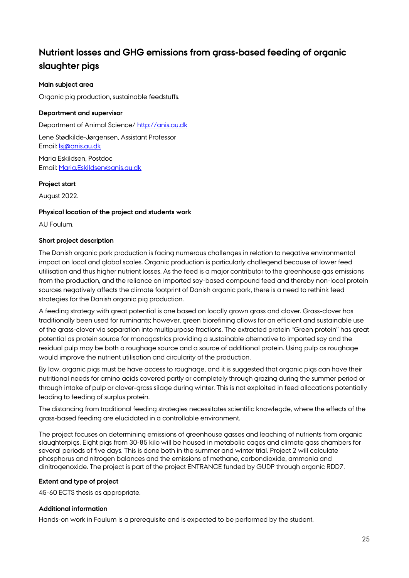# <span id="page-24-0"></span>**Nutrient losses and GHG emissions from grass-based feeding of organic slaughter pigs**

# **Main subject area**

Organic pig production, sustainable feedstuffs.

# **Department and supervisor**

Department of Animal Science/ [http://anis.au.dk](http://anis.au.dk/) Lene Stødkilde-Jørgensen, Assistant Professor Email: [lsj@anis.au.dk](mailto:lsj@anis.au.dk) Maria Eskildsen, Postdoc Email: [Maria.Eskildsen@anis.au.dk](mailto:Maria.Eskildsen@anis.au.dk)

# **Project start**

August 2022.

# **Physical location of the project and students work**

AU Foulum.

# **Short project description**

The Danish organic pork production is facing numerous challenges in relation to negative environmental impact on local and global scales. Organic production is particularly challegend because of lower feed utilisation and thus higher nutrient losses. As the feed is a major contributor to the greenhouse gas emissions from the production, and the reliance on imported soy-based compound feed and thereby non-local protein sources negatively affects the climate footprint of Danish organic pork, there is a need to rethink feed strategies for the Danish organic pig production.

A feeding strategy with great potential is one based on locally grown grass and clover. Grass-clover has traditionally been used for ruminants; however, green biorefining allows for an efficient and sustainable use of the grass-clover via separation into multipurpose fractions. The extracted protein "Green protein" has great potential as protein source for monogastrics providing a sustainable alternative to imported soy and the residual pulp may be both a roughage source and a source of additional protein. Using pulp as roughage would improve the nutrient utilisation and circularity of the production.

By law, organic pigs must be have access to roughage, and it is suggested that organic pigs can have their nutritional needs for amino acids covered partly or completely through grazing during the summer period or through intake of pulp or clover-grass silage during winter. This is not exploited in feed allocations potentially leading to feeding of surplus protein.

The distancing from traditional feeding strategies necessitates scientific knowlegde, where the effects of the grass-based feeding are elucidated in a controllable environment.

The project focuses on determining emissions of greenhouse gasses and leaching of nutrients from organic slaughterpigs. Eight pigs from 30-85 kilo will be housed in metabolic cages and climate gass chambers for several periods of five days. This is done both in the summer and winter trial. Project 2 will calculate phosphorus and nitrogen balances and the emissions of methane, carbondioxide, ammonia and dinitrogenoxide. The project is part of the project ENTRANCE funded by GUDP through organic RDD7.

# **Extent and type of project**

45-60 ECTS thesis as appropriate.

# **Additional information**

Hands-on work in Foulum is a prerequisite and is expected to be performed by the student.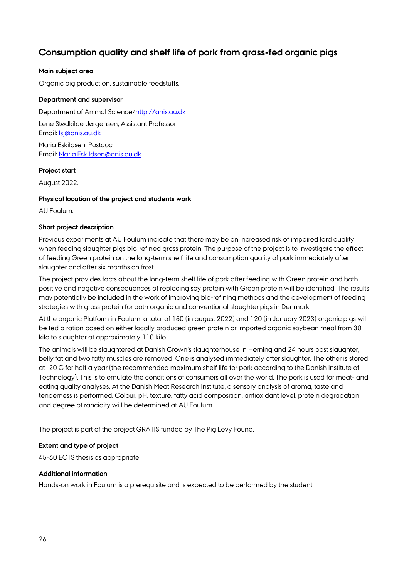# <span id="page-25-0"></span>**Consumption quality and shelf life of pork from grass-fed organic pigs**

# **Main subject area**

Organic pig production, sustainable feedstuffs.

#### **Department and supervisor**

Department of Animal Science[/http://anis.au.dk](http://anis.au.dk/)

Lene Stødkilde-Jørgensen, Assistant Professor Email: [lsj@anis.au.dk](mailto:lsj@anis.au.dk)

Maria Eskildsen, Postdoc Email: [Maria.Eskildsen@anis.au.dk](mailto:Maria.Eskildsen@anis.au.dk)

#### **Project start**

August 2022.

#### **Physical location of the project and students work**

AU Foulum.

#### **Short project description**

Previous experiments at AU Foulum indicate that there may be an increased risk of impaired lard quality when feeding slaughter pigs bio-refined grass protein. The purpose of the project is to investigate the effect of feeding Green protein on the long-term shelf life and consumption quality of pork immediately after slaughter and after six months on frost.

The project provides facts about the long-term shelf life of pork after feeding with Green protein and both positive and negative consequences of replacing soy protein with Green protein will be identified. The results may potentially be included in the work of improving bio-refining methods and the development of feeding strategies with grass protein for both organic and conventional slaughter pigs in Denmark.

At the organic Platform in Foulum, a total of 150 (in august 2022) and 120 (in January 2023) organic pigs will be fed a ration based on either locally produced green protein or imported organic soybean meal from 30 kilo to slaughter at approximately 110 kilo.

The animals will be slaughtered at Danish Crown's slaughterhouse in Herning and 24 hours post slaughter, belly fat and two fatty muscles are removed. One is analysed immediately after slaughter. The other is stored at -20 C for half a year (the recommended maximum shelf life for pork according to the Danish Institute of Technology). This is to emulate the conditions of consumers all over the world. The pork is used for meat- and eating quality analyses. At the Danish Meat Research Institute, a sensory analysis of aroma, taste and tenderness is performed. Colour, pH, texture, fatty acid composition, antioxidant level, protein degradation and degree of rancidity will be determined at AU Foulum.

The project is part of the project GRATIS funded by The Pig Levy Found.

#### **Extent and type of project**

45-60 ECTS thesis as appropriate.

# **Additional information**

Hands-on work in Foulum is a prerequisite and is expected to be performed by the student.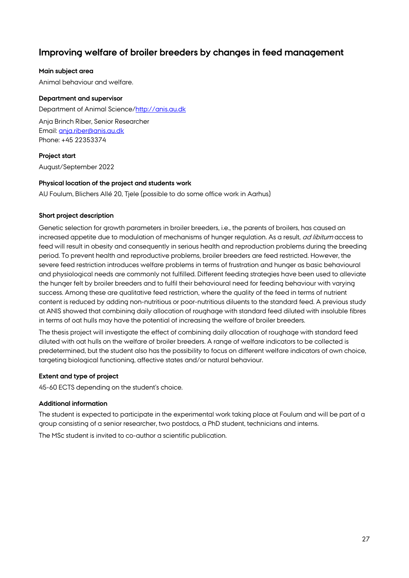# <span id="page-26-0"></span>**Improving welfare of broiler breeders by changes in feed management**

# **Main subject area**

Animal behaviour and welfare.

# **Department and supervisor**

Department of Animal Science[/http://anis.au.dk](http://anis.au.dk/) Anja Brinch Riber, Senior Researcher Email: [anja.riber@anis.au.dk](mailto:anja.riber@anis.au.dk) Phone: +45 22353374

# **Project start**

August/September 2022

# **Physical location of the project and students work**

AU Foulum, Blichers Allé 20, Tjele (possible to do some office work in Aarhus)

# **Short project description**

Genetic selection for growth parameters in broiler breeders, i.e., the parents of broilers, has caused an increased appetite due to modulation of mechanisms of hunger regulation. As a result, *ad libitum* access to feed will result in obesity and consequently in serious health and reproduction problems during the breeding period. To prevent health and reproductive problems, broiler breeders are feed restricted. However, the severe feed restriction introduces welfare problems in terms of frustration and hunger as basic behavioural and physiological needs are commonly not fulfilled. Different feeding strategies have been used to alleviate the hunger felt by broiler breeders and to fulfil their behavioural need for feeding behaviour with varying success. Among these are qualitative feed restriction, where the quality of the feed in terms of nutrient content is reduced by adding non-nutritious or poor-nutritious diluents to the standard feed. A previous study at ANIS showed that combining daily allocation of roughage with standard feed diluted with insoluble fibres in terms of oat hulls may have the potential of increasing the welfare of broiler breeders.

The thesis project will investigate the effect of combining daily allocation of roughage with standard feed diluted with oat hulls on the welfare of broiler breeders. A range of welfare indicators to be collected is predetermined, but the student also has the possibility to focus on different welfare indicators of own choice, targeting biological functioning, affective states and/or natural behaviour.

# **Extent and type of project**

45-60 ECTS depending on the student's choice.

# **Additional information**

The student is expected to participate in the experimental work taking place at Foulum and will be part of a group consisting of a senior researcher, two postdocs, a PhD student, technicians and interns.

The MSc student is invited to co-author a scientific publication.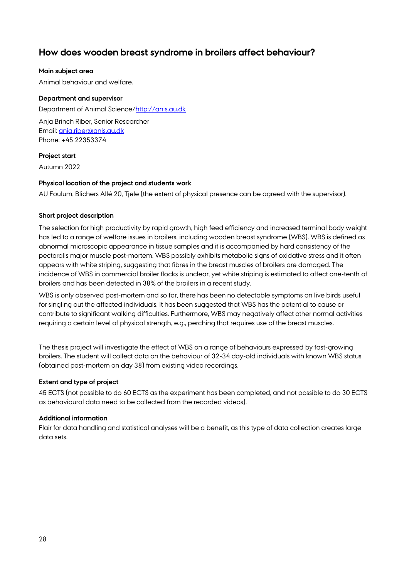# <span id="page-27-0"></span>**How does wooden breast syndrome in broilers affect behaviour?**

# **Main subject area**

Animal behaviour and welfare.

# **Department and supervisor**

Department of Animal Science[/http://anis.au.dk](http://anis.au.dk/) Anja Brinch Riber, Senior Researcher Email: [anja.riber@anis.au.dk](mailto:anja.riber@anis.au.dk) Phone: +45 22353374

# **Project start**

Autumn 2022

# **Physical location of the project and students work**

AU Foulum, Blichers Allé 20, Tjele (the extent of physical presence can be agreed with the supervisor).

# **Short project description**

The selection for high productivity by rapid growth, high feed efficiency and increased terminal body weight has led to a range of welfare issues in broilers, including wooden breast syndrome (WBS). WBS is defined as abnormal microscopic appearance in tissue samples and it is accompanied by hard consistency of the pectoralis major muscle post-mortem. WBS possibly exhibits metabolic signs of oxidative stress and it often appears with white striping, suggesting that fibres in the breast muscles of broilers are damaged. The incidence of WBS in commercial broiler flocks is unclear, yet white striping is estimated to affect one-tenth of broilers and has been detected in 38% of the broilers in a recent study.

WBS is only observed post-mortem and so far, there has been no detectable symptoms on live birds useful for singling out the affected individuals. It has been suggested that WBS has the potential to cause or contribute to significant walking difficulties. Furthermore, WBS may negatively affect other normal activities requiring a certain level of physical strength, e.g., perching that requires use of the breast muscles.

The thesis project will investigate the effect of WBS on a range of behaviours expressed by fast-growing broilers. The student will collect data on the behaviour of 32-34 day-old individuals with known WBS status (obtained post-mortem on day 38) from existing video recordings.

# **Extent and type of project**

45 ECTS (not possible to do 60 ECTS as the experiment has been completed, and not possible to do 30 ECTS as behavioural data need to be collected from the recorded videos).

# **Additional information**

Flair for data handling and statistical analyses will be a benefit, as this type of data collection creates large data sets.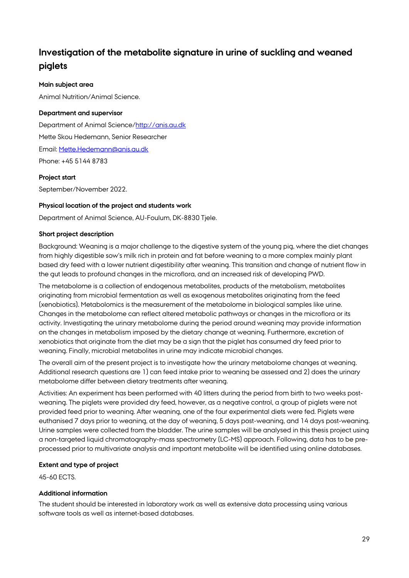# <span id="page-28-0"></span>**Investigation of the metabolite signature in urine of suckling and weaned piglets**

# **Main subject area**

Animal Nutrition/Animal Science.

# **Department and supervisor**

Department of Animal Science[/http://anis.au.dk](http://anis.au.dk/) Mette Skou Hedemann, Senior Researcher Email: [Mette.Hedemann@anis.au.dk](mailto:Mette.Hedemann@anis.au.dk) Phone: +45 5144 8783

# **Project start**

September/November 2022.

# **Physical location of the project and students work**

Department of Animal Science, AU-Foulum, DK-8830 Tjele.

# **Short project description**

Background: Weaning is a major challenge to the digestive system of the young pig, where the diet changes from highly digestible sow's milk rich in protein and fat before weaning to a more complex mainly plant based dry feed with a lower nutrient digestibility after weaning. This transition and change of nutrient flow in the gut leads to profound changes in the microflora, and an increased risk of developing PWD.

The metabolome is a collection of endogenous metabolites, products of the metabolism, metabolites originating from microbial fermentation as well as exogenous metabolites originating from the feed (xenobiotics). Metabolomics is the measurement of the metabolome in biological samples like urine. Changes in the metabolome can reflect altered metabolic pathways or changes in the microflora or its activity. Investigating the urinary metabolome during the period around weaning may provide information on the changes in metabolism imposed by the dietary change at weaning. Furthermore, excretion of xenobiotics that originate from the diet may be a sign that the piglet has consumed dry feed prior to weaning. Finally, microbial metabolites in urine may indicate microbial changes.

The overall aim of the present project is to investigate how the urinary metabolome changes at weaning. Additional research questions are 1) can feed intake prior to weaning be assessed and 2) does the urinary metabolome differ between dietary treatments after weaning.

Activities: An experiment has been performed with 40 litters during the period from birth to two weeks postweaning. The piglets were provided dry feed, however, as a negative control, a group of piglets were not provided feed prior to weaning. After weaning, one of the four experimental diets were fed. Piglets were euthanised 7 days prior to weaning, at the day of weaning, 5 days post-weaning, and 14 days post-weaning. Urine samples were collected from the bladder. The urine samples will be analysed in this thesis project using a non-targeted liquid chromatography-mass spectrometry (LC-MS) approach. Following, data has to be preprocessed prior to multivariate analysis and important metabolite will be identified using online databases.

# **Extent and type of project**

45-60 ECTS.

# **Additional information**

The student should be interested in laboratory work as well as extensive data processing using various software tools as well as internet-based databases.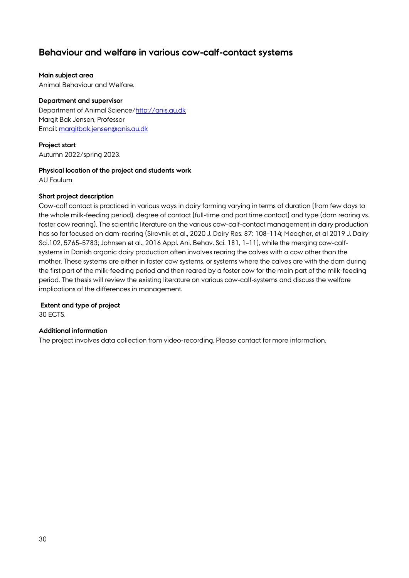# <span id="page-29-0"></span>**Behaviour and welfare in various cow-calf-contact systems**

#### **Main subject area**

Animal Behaviour and Welfare.

# **Department and supervisor**

Department of Animal Science[/http://anis.au.dk](http://anis.au.dk/) Margit Bak Jensen, Professor Email: [margitbak.jensen@anis.au.dk](mailto:margitbak.jensen@anis.au.dk)

# **Project start**

Autumn 2022/spring 2023.

# **Physical location of the project and students work**

AU Foulum

# **Short project description**

Cow-calf contact is practiced in various ways in dairy farming varying in terms of duration (from few days to the whole milk-feeding period), degree of contact (full-time and part time contact) and type (dam rearing vs. foster cow rearing). The scientific literature on the various cow-calf-contact management in dairy production has so far focused on dam-rearing (Sirovnik et al., 2020 J. Dairy Res. 87: 108–114; Meagher, et al 2019 J. Dairy Sci.102, 5765–5783; Johnsen et al., 2016 Appl. Ani. Behav. Sci. 181, 1–11), while the merging cow-calfsystems in Danish organic dairy production often involves rearing the calves with a cow other than the mother. These systems are either in foster cow systems, or systems where the calves are with the dam during the first part of the milk-feeding period and then reared by a foster cow for the main part of the milk-feeding period. The thesis will review the existing literature on various cow-calf-systems and discuss the welfare implications of the differences in management.

**Extent and type of project** 

30 ECTS.

# **Additional information**

The project involves data collection from video-recording. Please contact for more information.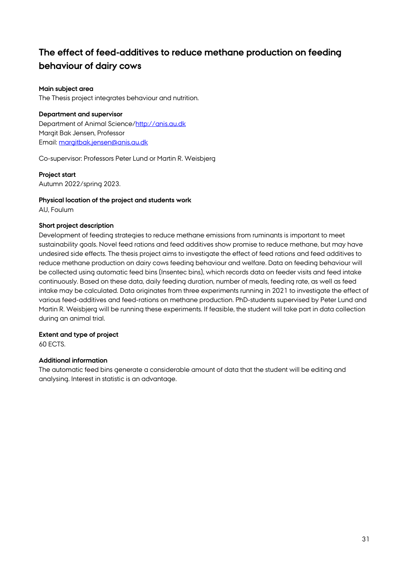# <span id="page-30-0"></span>**The effect of feed-additives to reduce methane production on feeding behaviour of dairy cows**

# **Main subject area**

The Thesis project integrates behaviour and nutrition.

#### **Department and supervisor**

Department of Animal Science[/http://anis.au.dk](http://anis.au.dk/) Margit Bak Jensen, Professor Email: [margitbak.jensen@anis.au.dk](mailto:margitbak.jensen@anis.au.dk)

Co-supervisor: Professors Peter Lund or Martin R. Weisbjerg

#### **Project start**

Autumn 2022/spring 2023.

#### **Physical location of the project and students work**

AU, Foulum

# **Short project description**

Development of feeding strategies to reduce methane emissions from ruminants is important to meet sustainability goals. Novel feed rations and feed additives show promise to reduce methane, but may have undesired side effects. The thesis project aims to investigate the effect of feed rations and feed additives to reduce methane production on dairy cows feeding behaviour and welfare. Data on feeding behaviour will be collected using automatic feed bins (Insentec bins), which records data on feeder visits and feed intake continuously. Based on these data, daily feeding duration, number of meals, feeding rate, as well as feed intake may be calculated. Data originates from three experiments running in 2021 to investigate the effect of various feed-additives and feed-rations on methane production. PhD-students supervised by Peter Lund and Martin R. Weisbjerg will be running these experiments. If feasible, the student will take part in data collection during an animal trial.

# **Extent and type of project**

60 ECTS.

# **Additional information**

The automatic feed bins generate a considerable amount of data that the student will be editing and analysing. Interest in statistic is an advantage.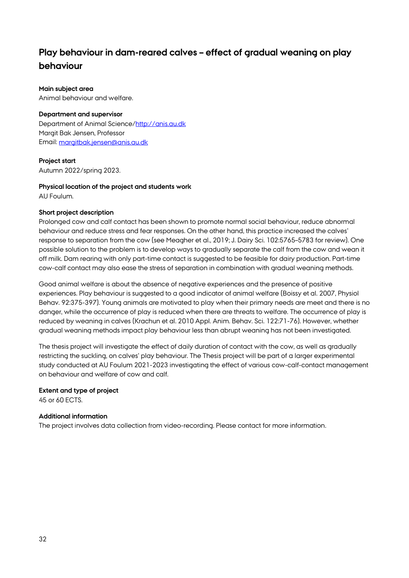# <span id="page-31-0"></span>**Play behaviour in dam-reared calves – effect of gradual weaning on play behaviour**

#### **Main subject area**

Animal behaviour and welfare.

#### **Department and supervisor**

Department of Animal Science[/http://anis.au.dk](http://anis.au.dk/) Margit Bak Jensen, Professor Email: [margitbak.jensen@anis.au.dk](mailto:margitbak.jensen@anis.au.dk)

#### **Project start**

Autumn 2022/spring 2023.

# **Physical location of the project and students work**

AU Foulum.

# **Short project description**

Prolonged cow and calf contact has been shown to promote normal social behaviour, reduce abnormal behaviour and reduce stress and fear responses. On the other hand, this practice increased the calves' response to separation from the cow (see Meagher et al., 2019; J. Dairy Sci. 102:5765–5783 for review). One possible solution to the problem is to develop ways to gradually separate the calf from the cow and wean it off milk. Dam rearing with only part-time contact is suggested to be feasible for dairy production. Part-time cow-calf contact may also ease the stress of separation in combination with gradual weaning methods.

Good animal welfare is about the absence of negative experiences and the presence of positive experiences. Play behaviour is suggested to a good indicator of animal welfare (Boissy et al. 2007, Physiol Behav. 92:375-397). Young animals are motivated to play when their primary needs are meet and there is no danger, while the occurrence of play is reduced when there are threats to welfare. The occurrence of play is reduced by weaning in calves (Krachun et al. 2010 Appl. Anim. Behav. Sci. 122:71-76). However, whether gradual weaning methods impact play behaviour less than abrupt weaning has not been investigated.

The thesis project will investigate the effect of daily duration of contact with the cow, as well as gradually restricting the suckling, on calves' play behaviour. The Thesis project will be part of a larger experimental study conducted at AU Foulum 2021-2023 investigating the effect of various cow-calf-contact management on behaviour and welfare of cow and calf.

# **Extent and type of project**

45 or 60 ECTS.

# **Additional information**

The project involves data collection from video-recording. Please contact for more information.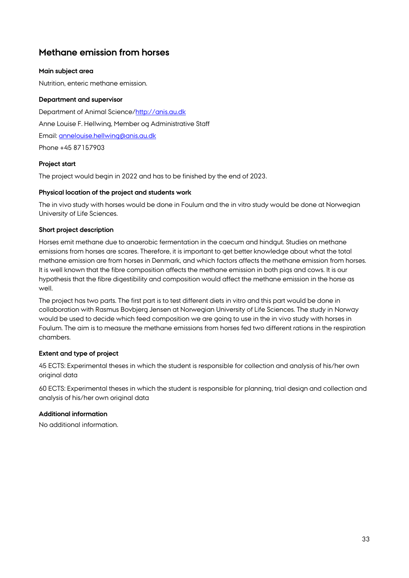# <span id="page-32-0"></span>**Methane emission from horses**

# **Main subject area**

Nutrition, enteric methane emission.

# **Department and supervisor**

Department of Animal Science[/http://anis.au.dk](http://anis.au.dk/) Anne Louise F. Hellwing, Member og Administrative Staff Email: [annelouise.hellwing@anis.au.dk](mailto:annelouise.hellwing@anis.au.dk) Phone +45 87157903

# **Project start**

The project would begin in 2022 and has to be finished by the end of 2023.

# **Physical location of the project and students work**

The in vivo study with horses would be done in Foulum and the in vitro study would be done at Norwegian University of Life Sciences.

# **Short project description**

Horses emit methane due to anaerobic fermentation in the caecum and hindgut. Studies on methane emissions from horses are scares. Therefore, it is important to get better knowledge about what the total methane emission are from horses in Denmark, and which factors affects the methane emission from horses. It is well known that the fibre composition affects the methane emission in both pigs and cows. It is our hypothesis that the fibre digestibility and composition would affect the methane emission in the horse as well.

The project has two parts. The first part is to test different diets in vitro and this part would be done in collaboration with Rasmus Bovbjerg Jensen at Norwegian University of Life Sciences. The study in Norway would be used to decide which feed composition we are going to use in the in vivo study with horses in Foulum. The aim is to measure the methane emissions from horses fed two different rations in the respiration chambers.

# **Extent and type of project**

45 ECTS: Experimental theses in which the student is responsible for collection and analysis of his/her own original data

60 ECTS: Experimental theses in which the student is responsible for planning, trial design and collection and analysis of his/her own original data

# **Additional information**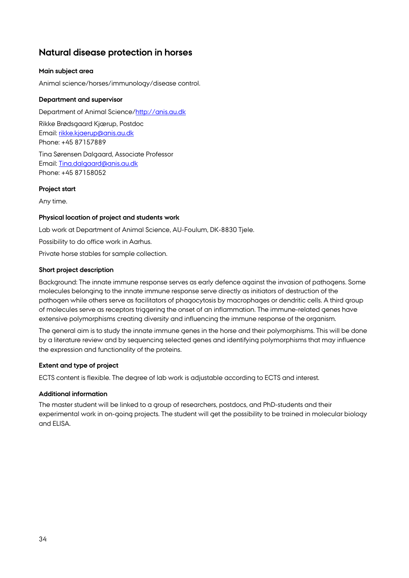# <span id="page-33-0"></span>**Natural disease protection in horses**

# **Main subject area**

Animal science/horses/immunology/disease control.

# **Department and supervisor**

Department of Animal Science[/http://anis.au.dk](http://anis.au.dk/)

Rikke Brødsgaard Kjærup, Postdoc Email: [rikke.kjaerup@anis.au.dk](mailto:rikke.kjaerup@anis.au.dk) Phone: +45 87157889

Tina Sørensen Dalgaard, Associate Professor Email: [Tina.dalgaard@anis.au.dk](mailto:Tina.dalgaard@anis.au.dk) Phone: +45 87158052

# **Project start**

Any time.

# **Physical location of project and students work**

Lab work at Department of Animal Science, AU-Foulum, DK-8830 Tjele.

Possibility to do office work in Aarhus.

Private horse stables for sample collection.

# **Short project description**

Background: The innate immune response serves as early defence against the invasion of pathogens. Some molecules belonging to the innate immune response serve directly as initiators of destruction of the pathogen while others serve as facilitators of phagocytosis by macrophages or dendritic cells. A third group of molecules serve as receptors triggering the onset of an inflammation. The immune-related genes have extensive polymorphisms creating diversity and influencing the immune response of the organism.

The general aim is to study the innate immune genes in the horse and their polymorphisms. This will be done by a literature review and by sequencing selected genes and identifying polymorphisms that may influence the expression and functionality of the proteins.

# **Extent and type of project**

ECTS content is flexible. The degree of lab work is adjustable according to ECTS and interest.

# **Additional information**

The master student will be linked to a group of researchers, postdocs, and PhD-students and their experimental work in on-going projects. The student will get the possibility to be trained in molecular biology and ELISA.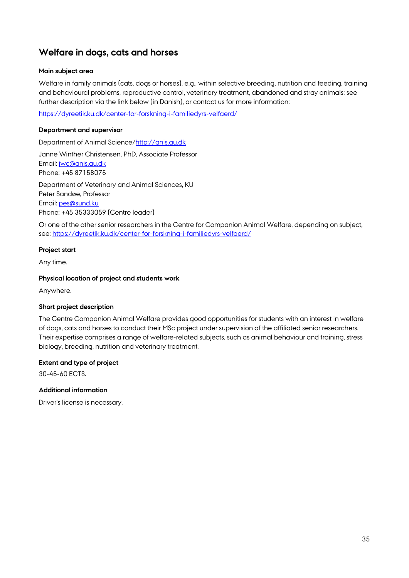# <span id="page-34-0"></span>**Welfare in dogs, cats and horses**

# **Main subject area**

Welfare in family animals (cats, dogs or horses), e.g., within selective breeding, nutrition and feeding, training and behavioural problems, reproductive control, veterinary treatment, abandoned and stray animals; see further description via the link below (in Danish), or contact us for more information:

<https://dyreetik.ku.dk/center-for-forskning-i-familiedyrs-velfaerd/>

# **Department and supervisor**

Department of Animal Science[/http://anis.au.dk](http://anis.au.dk/)

Janne Winther Christensen, PhD, Associate Professor Email: [jwc@anis.au.dk](mailto:jwc@anis.au.dk) Phone: +45 87158075

Department of Veterinary and Animal Sciences, KU Peter Sandøe, Professor Email: [pes@sund.ku](mailto:pes@sund.ku) Phone: +45 35333059 (Centre leader)

Or one of the other senior researchers in the Centre for Companion Animal Welfare, depending on subject, see[: https://dyreetik.ku.dk/center-for-forskning-i-familiedyrs-velfaerd/](https://dyreetik.ku.dk/center-for-forskning-i-familiedyrs-velfaerd/)

# **Project start**

Any time.

# **Physical location of project and students work**

Anywhere.

# **Short project description**

The Centre Companion Animal Welfare provides good opportunities for students with an interest in welfare of dogs, cats and horses to conduct their MSc project under supervision of the affiliated senior researchers. Their expertise comprises a range of welfare-related subjects, such as animal behaviour and training, stress biology, breeding, nutrition and veterinary treatment.

# **Extent and type of project**

30-45-60 ECTS.

# **Additional information**

Driver's license is necessary.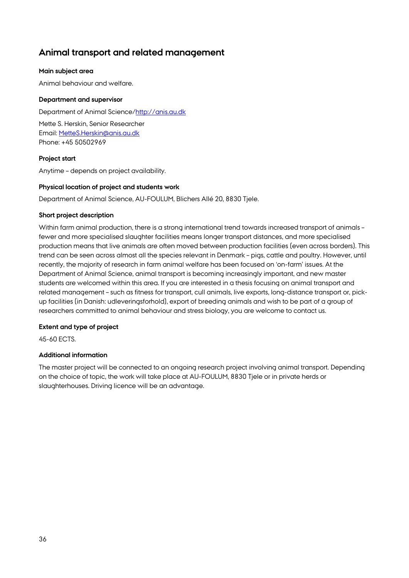# <span id="page-35-0"></span>**Animal transport and related management**

# **Main subject area**

Animal behaviour and welfare.

# **Department and supervisor**

Department of Animal Science[/http://anis.au.dk](http://anis.au.dk/)

Mette S. Herskin, Senior Researcher Email: [MetteS.Herskin@anis.au.dk](mailto:MetteS.Herskin@anis.au.dk) Phone: +45 50502969

# **Project start**

Anytime – depends on project availability.

# **Physical location of project and students work**

Department of Animal Science, AU-FOULUM, Blichers Allé 20, 8830 Tjele.

# **Short project description**

Within farm animal production, there is a strong international trend towards increased transport of animals – fewer and more specialised slaughter facilities means longer transport distances, and more specialised production means that live animals are often moved between production facilities (even across borders). This trend can be seen across almost all the species relevant in Denmark – pigs, cattle and poultry. However, until recently, the majority of research in farm animal welfare has been focused on 'on-farm' issues. At the Department of Animal Science, animal transport is becoming increasingly important, and new master students are welcomed within this area. If you are interested in a thesis focusing on animal transport and related management – such as fitness for transport, cull animals, live exports, long-distance transport or, pickup facilities (in Danish: udleveringsforhold), export of breeding animals and wish to be part of a group of researchers committed to animal behaviour and stress biology, you are welcome to contact us.

# **Extent and type of project**

45-60 ECTS.

# **Additional information**

The master project will be connected to an ongoing research project involving animal transport. Depending on the choice of topic, the work will take place at AU-FOULUM, 8830 Tjele or in private herds or slaughterhouses. Driving licence will be an advantage.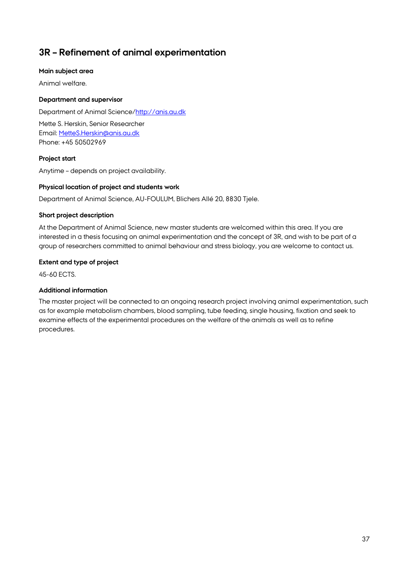# <span id="page-36-0"></span>**3R – Refinement of animal experimentation**

# **Main subject area**

Animal welfare.

# **Department and supervisor**

Department of Animal Science[/http://anis.au.dk](http://anis.au.dk/)

Mette S. Herskin, Senior Researcher Email: [MetteS.Herskin@anis.au.dk](mailto:MetteS.Herskin@anis.au.dk) Phone: +45 50502969

# **Project start**

Anytime – depends on project availability.

# **Physical location of project and students work**

Department of Animal Science, AU-FOULUM, Blichers Allé 20, 8830 Tjele.

# **Short project description**

At the Department of Animal Science, new master students are welcomed within this area. If you are interested in a thesis focusing on animal experimentation and the concept of 3R, and wish to be part of a group of researchers committed to animal behaviour and stress biology, you are welcome to contact us.

# **Extent and type of project**

45-60 ECTS.

# **Additional information**

The master project will be connected to an ongoing research project involving animal experimentation, such as for example metabolism chambers, blood sampling, tube feeding, single housing, fixation and seek to examine effects of the experimental procedures on the welfare of the animals as well as to refine procedures.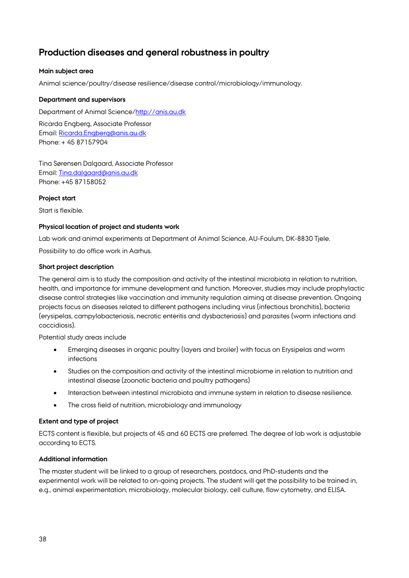# <span id="page-37-0"></span>**Production diseases and general robustness in poultry**

# **Main subject area**

Animal science/poultry/disease resilience/disease control/microbiology/immunology.

# **Department and supervisors**

Department of Animal Science[/http://anis.au.dk](http://anis.au.dk/)

Ricarda Engberg, Associate Professor Email: [Ricarda.Engberg@anis.au.dk](mailto:Ricarda.Engberg@anis.au.dk) Phone: + 45 87157904

Tina Sørensen Dalgaard, Associate Professor Email: [Tina.dalgaard@anis.au.dk](mailto:Tina.dalgaard@anis.au.dk) Phone: +45 87158052

# **Project start**

Start is flexible.

# **Physical location of project and students work**

Lab work and animal experiments at Department of Animal Science, AU-Foulum, DK-8830 Tjele.

Possibility to do office work in Aarhus.

# **Short project description**

The general aim is to study the composition and activity of the intestinal microbiota in relation to nutrition, health, and importance for immune development and function. Moreover, studies may include prophylactic disease control strategies like vaccination and immunity regulation aiming at disease prevention. Ongoing projects focus on diseases related to different pathogens including virus (infectious bronchitis), bacteria (erysipelas, campylobacteriosis, necrotic enteritis and dysbacteriosis) and parasites (worm infections and coccidiosis).

Potential study areas include

- Emerging diseases in organic poultry (layers and broiler) with focus on Erysipelas and worm infections
- Studies on the composition and activity of the intestinal microbiome in relation to nutrition and intestinal disease (zoonotic bacteria and poultry pathogens)
- Interaction between intestinal microbiota and immune system in relation to disease resilience.
- The cross field of nutrition, microbiology and immunology

# **Extent and type of project**

ECTS content is flexible, but projects of 45 and 60 ECTS are preferred. The degree of lab work is adjustable according to ECTS.

# **Additional information**

The master student will be linked to a group of researchers, postdocs, and PhD-students and the experimental work will be related to on-going projects. The student will get the possibility to be trained in, e.g., animal experimentation, microbiology, molecular biology, cell culture, flow cytometry, and ELISA.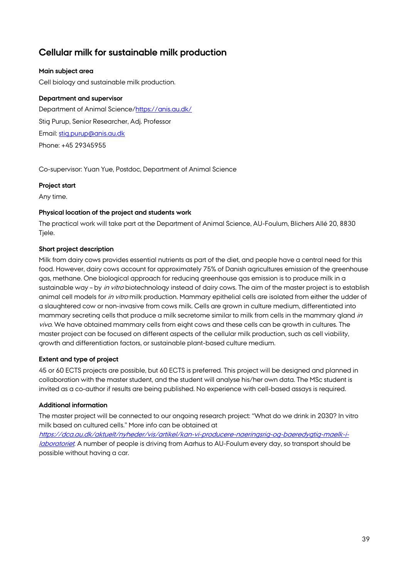# <span id="page-38-0"></span>**Cellular milk for sustainable milk production**

# **Main subject area**

Cell biology and sustainable milk production.

# **Department and supervisor**

Department of Animal Science[/https://anis.au.dk/](https://anis.au.dk/) Stig Purup, Senior Researcher, Adj. Professor Email: [stig.purup@anis.au.dk](mailto:stig.purup@anis.au.dk) Phone: +45 29345955

Co-supervisor: Yuan Yue, Postdoc, Department of Animal Science

# **Project start**

Any time.

# **Physical location of the project and students work**

The practical work will take part at the Department of Animal Science, AU-Foulum, Blichers Allé 20, 8830 Tjele.

# **Short project description**

Milk from dairy cows provides essential nutrients as part of the diet, and people have a central need for this food. However, dairy cows account for approximately 75% of Danish agricultures emission of the greenhouse gas, methane. One biological approach for reducing greenhouse gas emission is to produce milk in a sustainable way – by in vitro biotechnology instead of dairy cows. The aim of the master project is to establish animal cell models for in vitro milk production. Mammary epithelial cells are isolated from either the udder of a slaughtered cow or non-invasive from cows milk. Cells are grown in culture medium, differentiated into mammary secreting cells that produce a milk secretome similar to milk from cells in the mammary gland in vivo. We have obtained mammary cells from eight cows and these cells can be growth in cultures. The master project can be focused on different aspects of the cellular milk production, such as cell viability, growth and differentiation factors, or sustainable plant-based culture medium.

# **Extent and type of project**

45 or 60 ECTS projects are possible, but 60 ECTS is preferred. This project will be designed and planned in collaboration with the master student, and the student will analyse his/her own data. The MSc student is invited as a co-author if results are being published. No experience with cell-based assays is required.

# **Additional information**

The master project will be connected to our ongoing research project: "What do we drink in 2030? In vitro milk based on cultured cells." More info can be obtained at

[https://dca.au.dk/aktuelt/nyheder/vis/artikel/kan-vi-producere-naeringsrig-og-baeredygtig-maelk-i](https://dca.au.dk/aktuelt/nyheder/vis/artikel/kan-vi-producere-naeringsrig-og-baeredygtig-maelk-i-laboratoriet)[laboratoriet](https://dca.au.dk/aktuelt/nyheder/vis/artikel/kan-vi-producere-naeringsrig-og-baeredygtig-maelk-i-laboratoriet). A number of people is driving from Aarhus to AU-Foulum every day, so transport should be possible without having a car.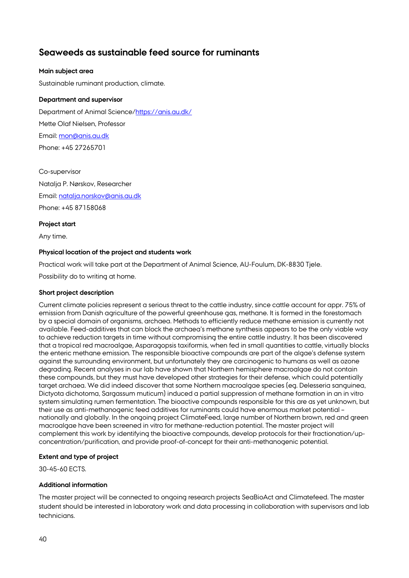# <span id="page-39-0"></span>**Seaweeds as sustainable feed source for ruminants**

# **Main subject area**

Sustainable ruminant production, climate.

# **Department and supervisor**

Department of Animal Science[/https://anis.au.dk/](https://anis.au.dk/) Mette Olaf Nielsen, Professor Email: [mon@anis.au.dk](mailto:mon@anis.au.dk) Phone: +45 27265701

Co-supervisor Natalja P. Nørskov, Researcher Email: [natalja.norskov@anis.au.dk](mailto:natalja.norskov@anis.au.dk) Phone: +45 87158068

# **Project start**

Any time.

# **Physical location of the project and students work**

Practical work will take part at the Department of Animal Science, AU-Foulum, DK-8830 Tjele.

Possibility do to writing at home.

# **Short project description**

Current climate policies represent a serious threat to the cattle industry, since cattle account for appr. 75% of emission from Danish agriculture of the powerful greenhouse gas, methane. It is formed in the forestomach by a special domain of organisms, archaea. Methods to efficiently reduce methane emission is currently not available. Feed-additives that can block the archaea's methane synthesis appears to be the only viable way to achieve reduction targets in time without compromising the entire cattle industry. It has been discovered that a tropical red macroalgae, Asparagopsis taxiformis, when fed in small quantities to cattle, virtually blocks the enteric methane emission. The responsible bioactive compounds are part of the algae's defense system against the surrounding environment, but unfortunately they are carcinogenic to humans as well as ozone degrading. Recent analyses in our lab have shown that Northern hemisphere macroalgae do not contain these compounds, but they must have developed other strategies for their defense, which could potentially target archaea. We did indeed discover that some Northern macroalgae species (eg. Delesseria sanguinea, Dictyota dichotoma, Sargassum muticum) induced a partial suppression of methane formation in an in vitro system simulating rumen fermentation. The bioactive compounds responsible for this are as yet unknown, but their use as anti-methanogenic feed additives for ruminants could have enormous market potential – nationally and globally. In the ongoing project ClimateFeed, large number of Northern brown, red and green macroalgae have been screened in vitro for methane-reduction potential. The master project will complement this work by identifying the bioactive compounds, develop protocols for their fractionation/upconcentration/purification, and provide proof-of-concept for their anti-methanogenic potential.

# **Extent and type of project**

30-45-60 ECTS.

# **Additional information**

The master project will be connected to ongoing research projects SeaBioAct and Climatefeed. The master student should be interested in laboratory work and data processing in collaboration with supervisors and lab technicians.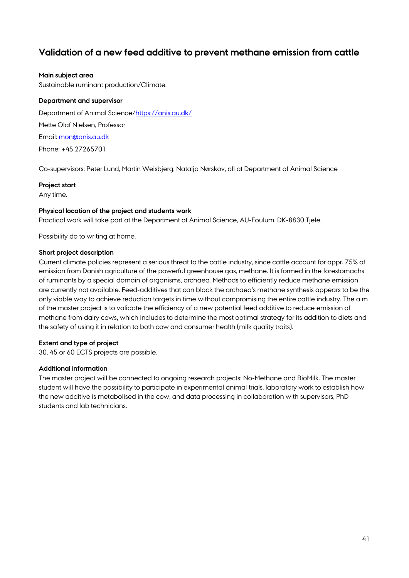# <span id="page-40-0"></span>**Validation of a new feed additive to prevent methane emission from cattle**

#### **Main subject area**

Sustainable ruminant production/Climate.

#### **Department and supervisor**

Department of Animal Science[/https://anis.au.dk/](https://anis.au.dk/) Mette Olaf Nielsen, Professor Email: [mon@anis.au.dk](mailto:mon@anis.au.dk) Phone: +45 27265701

Co-supervisors: Peter Lund, Martin Weisbjerg, Natalja Nørskov, all at Department of Animal Science

#### **Project start**

Any time.

#### **Physical location of the project and students work**

Practical work will take part at the Department of Animal Science, AU-Foulum, DK-8830 Tjele.

Possibility do to writing at home.

#### **Short project description**

Current climate policies represent a serious threat to the cattle industry, since cattle account for appr. 75% of emission from Danish agriculture of the powerful greenhouse gas, methane. It is formed in the forestomachs of ruminants by a special domain of organisms, archaea. Methods to efficiently reduce methane emission are currently not available. Feed-additives that can block the archaea's methane synthesis appears to be the only viable way to achieve reduction targets in time without compromising the entire cattle industry. The aim of the master project is to validate the efficiency of a new potential feed additive to reduce emission of methane from dairy cows, which includes to determine the most optimal strategy for its addition to diets and the safety of using it in relation to both cow and consumer health (milk quality traits).

# **Extent and type of project**

30, 45 or 60 ECTS projects are possible.

# **Additional information**

The master project will be connected to ongoing research projects: No-Methane and BioMilk. The master student will have the possibility to participate in experimental animal trials, laboratory work to establish how the new additive is metabolised in the cow, and data processing in collaboration with supervisors, PhD students and lab technicians.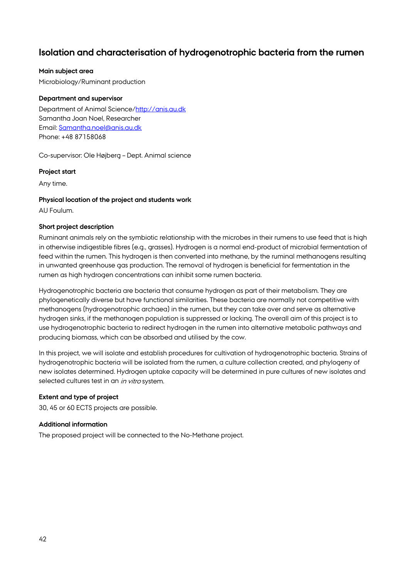# <span id="page-41-0"></span>**Isolation and characterisation of hydrogenotrophic bacteria from the rumen**

# **Main subject area**

Microbiology/Ruminant production

#### **Department and supervisor**

Department of Animal Science[/http://anis.au.dk](http://anis.au.dk/) Samantha Joan Noel, Researcher Email: [Samantha.noel@anis.au.dk](mailto:Samantha.noel@anis.au.dk) Phone: +48 87158068

Co-supervisor: Ole Højberg – Dept. Animal science

#### **Project start**

Any time.

#### **Physical location of the project and students work**

AU Foulum.

# **Short project description**

Ruminant animals rely on the symbiotic relationship with the microbes in their rumens to use feed that is high in otherwise indigestible fibres (e.g., grasses). Hydrogen is a normal end-product of microbial fermentation of feed within the rumen. This hydrogen is then converted into methane, by the ruminal methanogens resulting in unwanted greenhouse gas production. The removal of hydrogen is beneficial for fermentation in the rumen as high hydrogen concentrations can inhibit some rumen bacteria.

Hydrogenotrophic bacteria are bacteria that consume hydrogen as part of their metabolism. They are phylogenetically diverse but have functional similarities. These bacteria are normally not competitive with methanogens (hydrogenotrophic archaea) in the rumen, but they can take over and serve as alternative hydrogen sinks, if the methanogen population is suppressed or lacking. The overall aim of this project is to use hydrogenotrophic bacteria to redirect hydrogen in the rumen into alternative metabolic pathways and producing biomass, which can be absorbed and utilised by the cow.

In this project, we will isolate and establish procedures for cultivation of hydrogenotrophic bacteria. Strains of hydrogenotrophic bacteria will be isolated from the rumen, a culture collection created, and phylogeny of new isolates determined. Hydrogen uptake capacity will be determined in pure cultures of new isolates and selected cultures test in an *in vitro* system.

# **Extent and type of project**

30, 45 or 60 ECTS projects are possible.

# **Additional information**

The proposed project will be connected to the No-Methane project.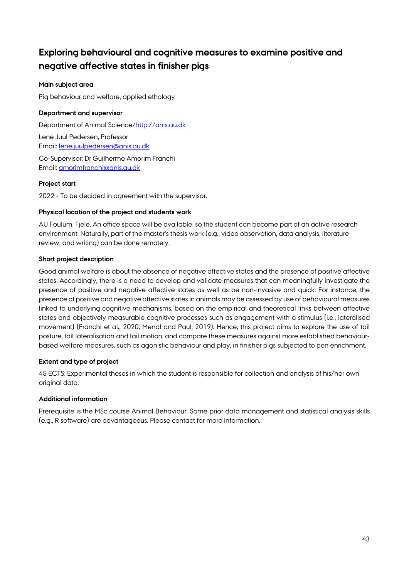# <span id="page-42-0"></span>**Exploring behavioural and cognitive measures to examine positive and negative affective states in finisher pigs**

# **Main subject area**

Pig behaviour and welfare, applied ethology

# **Department and supervisor**

Department of Animal Science[/http://anis.au.dk](http://anis.au.dk/) Lene Juul Pedersen, Professor Email: [lene.juulpedersen@anis.au.dk](mailto:lene.juulpedersen@anis.au.dk) Co-Supervisor: Dr Guilherme Amorim Franchi Email: [amorimfranchi@anis.au.dk](mailto:amorimfranchi@anis.au.dk)

# **Project start**

2022 - To be decided in agreement with the supervisor.

# **Physical location of the project and students work**

AU Foulum, Tjele. An office space will be available, so the student can become part of an active research environment. Naturally, part of the master's thesis work (e.g., video observation, data analysis, literature review, and writing) can be done remotely.

# **Short project description**

Good animal welfare is about the absence of negative affective states and the presence of positive affective states. Accordingly, there is a need to develop and validate measures that can meaningfully investigate the presence of positive and negative affective states as well as be non-invasive and quick. For instance, the presence of positive and negative affective states in animals may be assessed by use of behavioural measures linked to underlying cognitive mechanisms, based on the empirical and theoretical links between affective states and objectively measurable cognitive processes such as engagement with a stimulus (i.e., lateralised movement) (Franchi et al., 2020; Mendl and Paul, 2019). Hence, this project aims to explore the use of tail posture, tail lateralisation and tail motion, and compare these measures against more established behaviourbased welfare measures, such as agonistic behaviour and play, in finisher pigs subjected to pen enrichment.

# **Extent and type of project**

45 ECTS: Experimental theses in which the student is responsible for collection and analysis of his/her own original data.

# **Additional information**

Prerequisite is the MSc course Animal Behaviour. Some prior data management and statistical analysis skills (e.g., R software) are advantageous. Please contact for more information.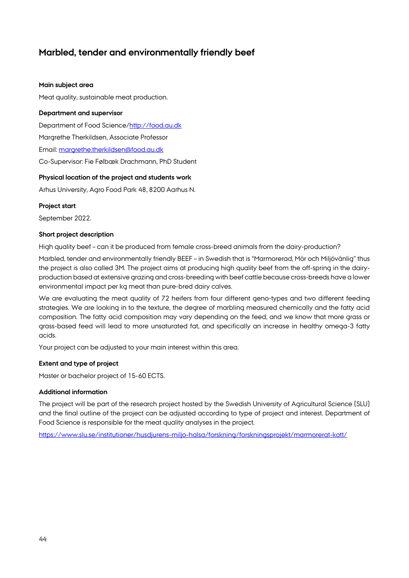# <span id="page-43-0"></span>**Marbled, tender and environmentally friendly beef**

#### **Main subject area**

Meat quality, sustainable meat production.

#### **Department and supervisor**

Department of Food Science[/http://food.au.dk](http://food.au.dk/)

Margrethe Therkildsen, Associate Professor

Email: [margrethe.therkildsen@food.au.dk](mailto:margrethe.therkildsen@food.au.dk)

Co-Supervisor: Fie Følbæk Drachmann, PhD Student

#### **Physical location of the project and students work**

Arhus University, Agro Food Park 48, 8200 Aarhus N.

#### **Project start**

September 2022.

#### **Short project description**

High quality beef – can it be produced from female cross-breed animals from the dairy-production?

Marbled, tender and environmentally friendly BEEF – in Swedish that is "Marmorerad, Mör och Miljövänlig" thus the project is also called 3M. The project aims at producing high quality beef from the off-spring in the dairyproduction based at extensive grazing and cross-breeding with beef cattle because cross-breeds have a lower environmental impact per kg meat than pure-bred dairy calves.

We are evaluating the meat quality of 72 heifers from four different geno-types and two different feeding strategies. We are looking in to the texture, the degree of marbling measured chemically and the fatty acid composition. The fatty acid composition may vary depending on the feed, and we know that more grass or grass-based feed will lead to more unsaturated fat, and specifically an increase in healthy omega-3 fatty acids.

Your project can be adjusted to your main interest within this area.

# **Extent and type of project**

Master or bachelor project of 15-60 ECTS.

# **Additional information**

The project will be part of the research project hosted by the Swedish University of Agricultural Science (SLU) and the final outline of the project can be adjusted according to type of project and interest. Department of Food Science is responsible for the meat quality analyses in the project.

<https://www.slu.se/institutioner/husdjurens-miljo-halsa/forskning/forskningsprojekt/marmorerat-kott/>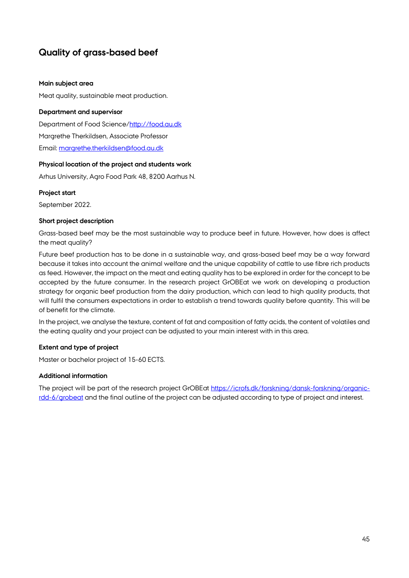# <span id="page-44-0"></span>**Quality of grass-based beef**

#### **Main subject area**

Meat quality, sustainable meat production.

#### **Department and supervisor**

Department of Food Science[/http://food.au.dk](http://food.au.dk/) Margrethe Therkildsen, Associate Professor Email: [margrethe.therkildsen@food.au.dk](mailto:margrethe.therkildsen@food.au.dk)

# **Physical location of the project and students work**

Arhus University, Agro Food Park 48, 8200 Aarhus N.

# **Project start**

September 2022.

# **Short project description**

Grass-based beef may be the most sustainable way to produce beef in future. However, how does is affect the meat quality?

Future beef production has to be done in a sustainable way, and grass-based beef may be a way forward because it takes into account the animal welfare and the unique capability of cattle to use fibre rich products as feed. However, the impact on the meat and eating quality has to be explored in order for the concept to be accepted by the future consumer. In the research project GrOBEat we work on developing a production strategy for organic beef production from the dairy production, which can lead to high quality products, that will fulfil the consumers expectations in order to establish a trend towards quality before quantity. This will be of benefit for the climate.

In the project, we analyse the texture, content of fat and composition of fatty acids, the content of volatiles and the eating quality and your project can be adjusted to your main interest with in this area.

# **Extent and type of project**

Master or bachelor project of 15-60 ECTS.

# **Additional information**

The project will be part of the research project GrOBEat [https://icrofs.dk/forskning/dansk-forskning/organic](https://icrofs.dk/forskning/dansk-forskning/organic-rdd-6/grobeat)[rdd-6/grobeat](https://icrofs.dk/forskning/dansk-forskning/organic-rdd-6/grobeat) and the final outline of the project can be adjusted according to type of project and interest.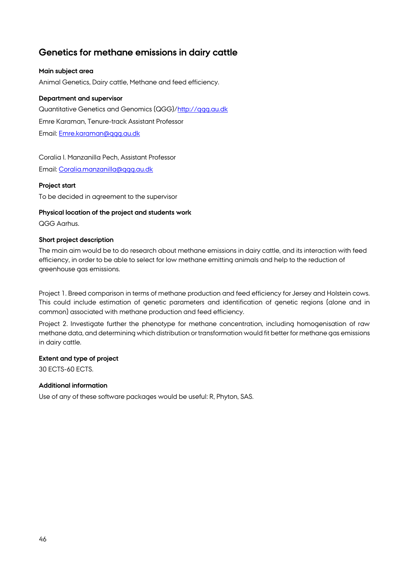# <span id="page-45-0"></span>**Genetics for methane emissions in dairy cattle**

# **Main subject area**

Animal Genetics, Dairy cattle, Methane and feed efficiency.

# **Department and supervisor**

Quantitative Genetics and Genomics (QGG)[/http://qgg.au.dk](http://qgg.au.dk/) Emre Karaman, Tenure-track Assistant Professor Email: [Emre.karaman@qgg.au.dk](mailto:Emre.karaman@qgg.au.dk)

# Coralia I. Manzanilla Pech, Assistant Professor

Email: [Coralia.manzanilla@qgg.au.dk](mailto:Coralia.manzanilla@qgg.au.dk)

# **Project start**

To be decided in agreement to the supervisor

# **Physical location of the project and students work**

QGG Aarhus.

# **Short project description**

The main aim would be to do research about methane emissions in dairy cattle, and its interaction with feed efficiency, in order to be able to select for low methane emitting animals and help to the reduction of greenhouse gas emissions.

Project 1. Breed comparison in terms of methane production and feed efficiency for Jersey and Holstein cows. This could include estimation of genetic parameters and identification of genetic regions (alone and in common) associated with methane production and feed efficiency.

Project 2. Investigate further the phenotype for methane concentration, including homogenisation of raw methane data, and determining which distribution or transformation would fit better for methane gas emissions in dairy cattle.

# **Extent and type of project**

30 ECTS-60 ECTS.

# **Additional information**

Use of any of these software packages would be useful: R, Phyton, SAS.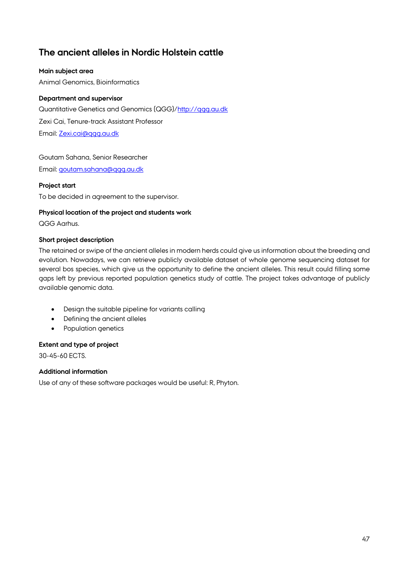# <span id="page-46-0"></span>**The ancient alleles in Nordic Holstein cattle**

# **Main subject area**

Animal Genomics, Bioinformatics

# **Department and supervisor**

Quantitative Genetics and Genomics (QGG)[/http://qgg.au.dk](http://qgg.au.dk/) Zexi Cai, Tenure-track Assistant Professor

Email: [Zexi.cai@qgg.au.dk](mailto:Zexi.cai@qgg.au.dk)

# Goutam Sahana, Senior Researcher

Email: [goutam.sahana@qgg.au.dk](mailto:Coralia.manzanilla@qgg.au.dk)

# **Project start**

To be decided in agreement to the supervisor.

# **Physical location of the project and students work**

QGG Aarhus.

# **Short project description**

The retained or swipe of the ancient alleles in modern herds could give us information about the breeding and evolution. Nowadays, we can retrieve publicly available dataset of whole genome sequencing dataset for several bos species, which give us the opportunity to define the ancient alleles. This result could filling some gaps left by previous reported population genetics study of cattle. The project takes advantage of publicly available genomic data.

- Design the suitable pipeline for variants calling
- Defining the ancient alleles
- Population genetics

# **Extent and type of project**

30-45-60 ECTS.

# **Additional information**

Use of any of these software packages would be useful: R, Phyton.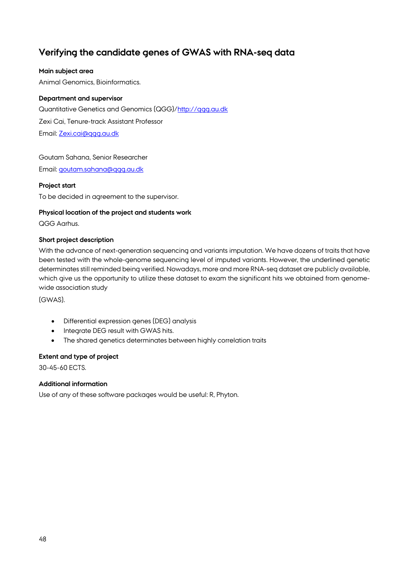# <span id="page-47-0"></span>**Verifying the candidate genes of GWAS with RNA-seq data**

# **Main subject area**

Animal Genomics, Bioinformatics.

# **Department and supervisor**

Quantitative Genetics and Genomics (QGG)[/http://qgg.au.dk](http://qgg.au.dk/) Zexi Cai, Tenure-track Assistant Professor

Email: [Zexi.cai@qgg.au.dk](mailto:Zexi.cai@qgg.au.dk)

# Goutam Sahana, Senior Researcher

Email: [goutam.sahana@qgg.au.dk](mailto:Coralia.manzanilla@qgg.au.dk)

# **Project start**

To be decided in agreement to the supervisor.

# **Physical location of the project and students work**

QGG Aarhus.

# **Short project description**

With the advance of next-generation sequencing and variants imputation. We have dozens of traits that have been tested with the whole-genome sequencing level of imputed variants. However, the underlined genetic determinates still reminded being verified. Nowadays, more and more RNA-seq dataset are publicly available, which give us the opportunity to utilize these dataset to exam the significant hits we obtained from genomewide association study

(GWAS).

- Differential expression genes (DEG) analysis
- Integrate DEG result with GWAS hits.
- The shared genetics determinates between highly correlation traits

# **Extent and type of project**

30-45-60 ECTS.

# **Additional information**

Use of any of these software packages would be useful: R, Phyton.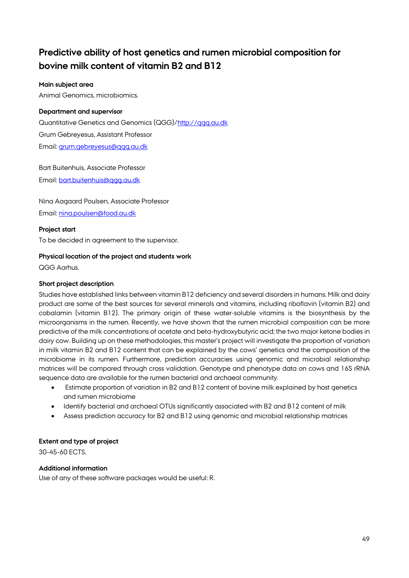# <span id="page-48-0"></span>**Predictive ability of host genetics and rumen microbial composition for bovine milk content of vitamin B2 and B12**

# **Main subject area**

Animal Genomics, microbiomics.

# **Department and supervisor**

Quantitative Genetics and Genomics (QGG)/http://ggg.au.dk Grum Gebreyesus, Assistant Professor Email: [grum.gebreyesus@qgg.au.dk](mailto:grum.gebreyesus@qgg.au.dk)

Bart Buitenhuis, Associate Professor Email: [bart.buitenhuis@qgg.au.dk](mailto:bart.buitenhuis@qgg.au.dk)

Nina Aagaard Poulsen, Associate Professor Email: [nina.poulsen@food.au.dk](mailto:nina.poulsen@food.au.dk)

# **Project start**

To be decided in agreement to the supervisor.

# **Physical location of the project and students work**

QGG Aarhus.

# **Short project description**

Studies have established links between vitamin B12 deficiency and several disorders in humans. Milk and dairy product are some of the best sources for several minerals and vitamins, including riboflavin (vitamin B2) and cobalamin (vitamin B12). The primary origin of these water-soluble vitamins is the biosynthesis by the microorganisms in the rumen. Recently, we have shown that the rumen microbial composition can be more predictive of the milk concentrations of acetate and beta-hydroxybutyric acid; the two major ketone bodies in dairy cow. Building up on these methodologies, this master's project will investigate the proportion of variation in milk vitamin B2 and B12 content that can be explained by the cows' genetics and the composition of the microbiome in its rumen. Furthermore, prediction accuracies using genomic and microbial relationship matrices will be compared through cross validation. Genotype and phenotype data on cows and 16S rRNA sequence data are available for the rumen bacterial and archaeal community.

- Estimate proportion of variation in B2 and B12 content of bovine milk explained by host genetics and rumen microbiome
- Identify bacterial and archaeal OTUs significantly associated with B2 and B12 content of milk
- Assess prediction accuracy for B2 and B12 using genomic and microbial relationship matrices

# **Extent and type of project**

30-45-60 ECTS.

# **Additional information**

Use of any of these software packages would be useful: R.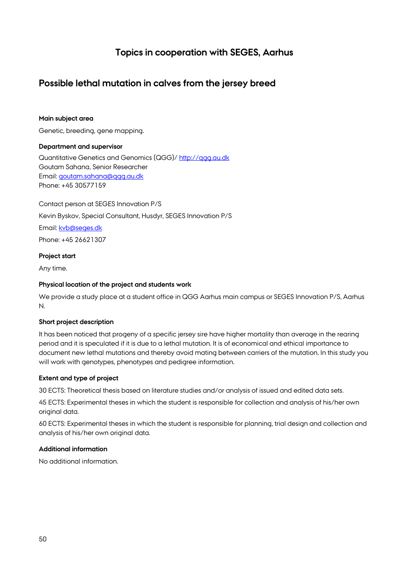# **Topics in cooperation with SEGES, Aarhus**

# <span id="page-49-1"></span><span id="page-49-0"></span>**Possible lethal mutation in calves from the jersey breed**

# **Main subject area**

Genetic, breeding, gene mapping.

# **Department and supervisor**

Quantitative Genetics and Genomics (QGG)/ [http://qgg.au.dk](http://qgg.au.dk/) Goutam Sahana, Senior Researcher Email: [goutam.sahana@qgg.au.dk](mailto:goutam.sahana@qgg.au.dk) Phone: +45 30577159

Contact person at SEGES Innovation P/S Kevin Byskov, Special Consultant, Husdyr, SEGES Innovation P/S Email: [kvb@seges.dk](mailto:kvb@seges.dk) Phone: +45 26621307

#### **Project start**

Any time.

#### **Physical location of the project and students work**

We provide a study place at a student office in QGG Aarhus main campus or SEGES Innovation P/S, Aarhus N.

#### **Short project description**

It has been noticed that progeny of a specific jersey sire have higher mortality than average in the rearing period and it is speculated if it is due to a lethal mutation. It is of economical and ethical importance to document new lethal mutations and thereby avoid mating between carriers of the mutation. In this study you will work with genotypes, phenotypes and pedigree information.

# **Extent and type of project**

30 ECTS: Theoretical thesis based on literature studies and/or analysis of issued and edited data sets.

45 ECTS: Experimental theses in which the student is responsible for collection and analysis of his/her own original data.

60 ECTS: Experimental theses in which the student is responsible for planning, trial design and collection and analysis of his/her own original data.

# **Additional information**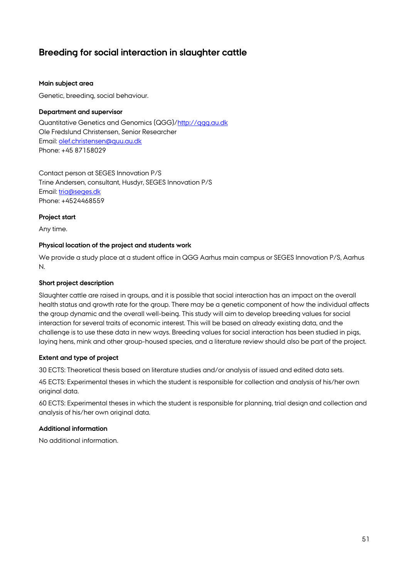# <span id="page-50-0"></span>**Breeding for social interaction in slaughter cattle**

#### **Main subject area**

Genetic, breeding, social behaviour.

#### **Department and supervisor**

Quantitative Genetics and Genomics (QGG)/http://ggg.au.dk Ole Fredslund Christensen, Senior Researcher Email: [olef.christensen@quu.au.dk](mailto:olef.christensen@quu.au.dk) Phone: +45 87158029

Contact person at SEGES Innovation P/S Trine Andersen, consultant, Husdyr, SEGES Innovation P/S Email: [tria@seges.dk](mailto:tria@seges.dk) Phone: +4524468559

#### **Project start**

Any time.

#### **Physical location of the project and students work**

We provide a study place at a student office in QGG Aarhus main campus or SEGES Innovation P/S, Aarhus N.

# **Short project description**

Slaughter cattle are raised in groups, and it is possible that social interaction has an impact on the overall health status and growth rate for the group. There may be a genetic component of how the individual affects the group dynamic and the overall well-being. This study will aim to develop breeding values for social interaction for several traits of economic interest. This will be based on already existing data, and the challenge is to use these data in new ways. Breeding values for social interaction has been studied in pigs, laying hens, mink and other group-housed species, and a literature review should also be part of the project.

# **Extent and type of project**

30 ECTS: Theoretical thesis based on literature studies and/or analysis of issued and edited data sets.

45 ECTS: Experimental theses in which the student is responsible for collection and analysis of his/her own original data.

60 ECTS: Experimental theses in which the student is responsible for planning, trial design and collection and analysis of his/her own original data.

# **Additional information**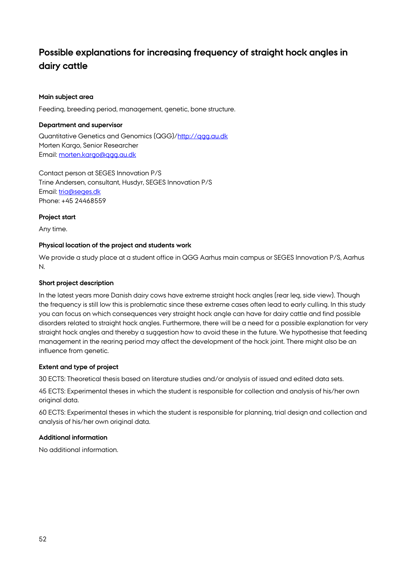# <span id="page-51-0"></span>**Possible explanations for increasing frequency of straight hock angles in dairy cattle**

# **Main subject area**

Feeding, breeding period, management, genetic, bone structure.

#### **Department and supervisor**

Quantitative Genetics and Genomics (QGG)/http://ggg.au.dk Morten Kargo, Senior Researcher Email: morten.kargo@ggg.au.dk

Contact person at SEGES Innovation P/S Trine Andersen, consultant, Husdyr, SEGES Innovation P/S Email: [tria@seges.dk](mailto:tria@seges.dk) Phone: +45 24468559

#### **Project start**

Any time.

#### **Physical location of the project and students work**

We provide a study place at a student office in QGG Aarhus main campus or SEGES Innovation P/S, Aarhus N.

#### **Short project description**

In the latest years more Danish dairy cows have extreme straight hock angles (rear leg, side view). Though the frequency is still low this is problematic since these extreme cases often lead to early culling. In this study you can focus on which consequences very straight hock angle can have for dairy cattle and find possible disorders related to straight hock angles. Furthermore, there will be a need for a possible explanation for very straight hock angles and thereby a suggestion how to avoid these in the future. We hypothesise that feeding management in the rearing period may affect the development of the hock joint. There might also be an influence from genetic.

# **Extent and type of project**

30 ECTS: Theoretical thesis based on literature studies and/or analysis of issued and edited data sets.

45 ECTS: Experimental theses in which the student is responsible for collection and analysis of his/her own original data.

60 ECTS: Experimental theses in which the student is responsible for planning, trial design and collection and analysis of his/her own original data.

# **Additional information**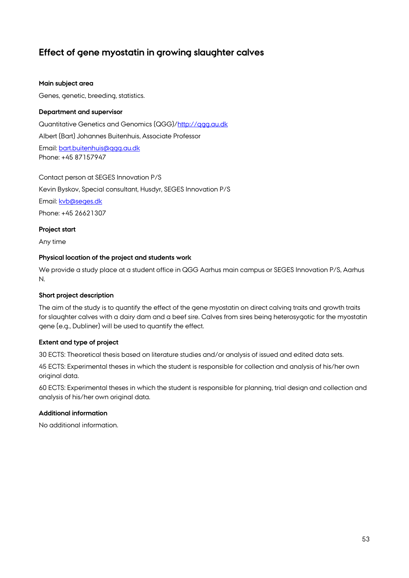# <span id="page-52-0"></span>**Effect of gene myostatin in growing slaughter calves**

#### **Main subject area**

Genes, genetic, breeding, statistics.

#### **Department and supervisor**

Quantitative Genetics and Genomics (QGG)[/http://qgg.au.dk](http://qgg.au.dk/) Albert (Bart) Johannes Buitenhuis, Associate Professor Email: [bart.buitenhuis@qgg.au.dk](mailto:bart.buitenhuis@qgg.au.dk) Phone: +45 87157947

Contact person at SEGES Innovation P/S Kevin Byskov, Special consultant, Husdyr, SEGES Innovation P/S Email: [kvb@seges.dk](mailto:kvb@seges.dk) Phone: +45 26621307

**Project start**

Any time

#### **Physical location of the project and students work**

We provide a study place at a student office in QGG Aarhus main campus or SEGES Innovation P/S, Aarhus N.

#### **Short project description**

The aim of the study is to quantify the effect of the gene myostatin on direct calving traits and growth traits for slaughter calves with a dairy dam and a beef sire. Calves from sires being heterosygotic for the myostatin gene (e.g., Dubliner) will be used to quantify the effect.

#### **Extent and type of project**

30 ECTS: Theoretical thesis based on literature studies and/or analysis of issued and edited data sets.

45 ECTS: Experimental theses in which the student is responsible for collection and analysis of his/her own original data.

60 ECTS: Experimental theses in which the student is responsible for planning, trial design and collection and analysis of his/her own original data.

#### **Additional information**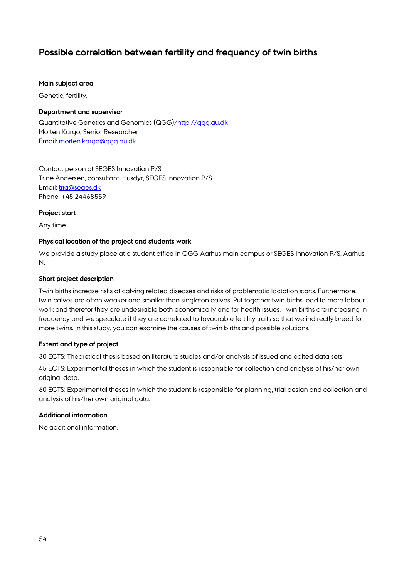# <span id="page-53-0"></span>**Possible correlation between fertility and frequency of twin births**

#### **Main subject area**

Genetic, fertility.

#### **Department and supervisor**

Quantitative Genetics and Genomics (QGG)/http://qqq.au.dk Morten Kargo, Senior Researcher Email: [morten.kargo@qgg.au.dk](mailto:morten.kargo@qgg.au.dk)

Contact person at SEGES Innovation P/S Trine Andersen, consultant, Husdyr, SEGES Innovation P/S Email: [tria@seges.dk](mailto:tria@seges.dk) Phone: +45 24468559

#### **Project start**

Any time.

#### **Physical location of the project and students work**

We provide a study place at a student office in QGG Aarhus main campus or SEGES Innovation P/S, Aarhus N.

#### **Short project description**

Twin births increase risks of calving related diseases and risks of problematic lactation starts. Furthermore, twin calves are often weaker and smaller than singleton calves. Put together twin births lead to more labour work and therefor they are undesirable both economically and for health issues. Twin births are increasing in frequency and we speculate if they are correlated to favourable fertility traits so that we indirectly breed for more twins. In this study, you can examine the causes of twin births and possible solutions.

#### **Extent and type of project**

30 ECTS: Theoretical thesis based on literature studies and/or analysis of issued and edited data sets.

45 ECTS: Experimental theses in which the student is responsible for collection and analysis of his/her own original data.

60 ECTS: Experimental theses in which the student is responsible for planning, trial design and collection and analysis of his/her own original data.

#### **Additional information**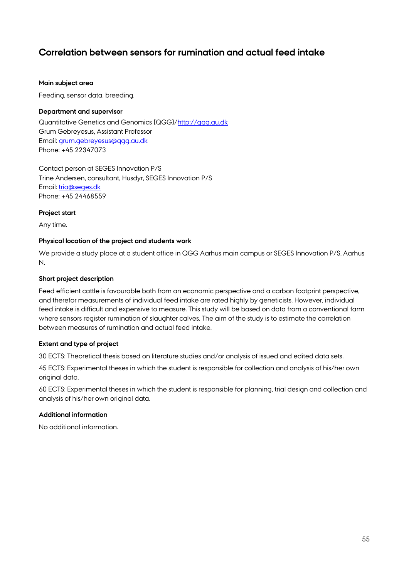# <span id="page-54-0"></span>**Correlation between sensors for rumination and actual feed intake**

#### **Main subject area**

Feeding, sensor data, breeding.

#### **Department and supervisor**

Quantitative Genetics and Genomics (QGG)[/http://qgg.au.dk](http://qgg.au.dk/) Grum Gebreyesus, Assistant Professor Email: [grum.gebreyesus@qgg.au.dk](mailto:grum.gebreyesus@qgg.au.dk) Phone: +45 22347073

Contact person at SEGES Innovation P/S Trine Andersen, consultant, Husdyr, SEGES Innovation P/S Email: [tria@seges.dk](mailto:tria@seges.dk) Phone: +45 24468559

#### **Project start**

Any time.

#### **Physical location of the project and students work**

We provide a study place at a student office in QGG Aarhus main campus or SEGES Innovation P/S, Aarhus N.

#### **Short project description**

Feed efficient cattle is favourable both from an economic perspective and a carbon footprint perspective, and therefor measurements of individual feed intake are rated highly by geneticists. However, individual feed intake is difficult and expensive to measure. This study will be based on data from a conventional farm where sensors register rumination of slaughter calves. The aim of the study is to estimate the correlation between measures of rumination and actual feed intake.

# **Extent and type of project**

30 ECTS: Theoretical thesis based on literature studies and/or analysis of issued and edited data sets.

45 ECTS: Experimental theses in which the student is responsible for collection and analysis of his/her own original data.

60 ECTS: Experimental theses in which the student is responsible for planning, trial design and collection and analysis of his/her own original data.

#### **Additional information**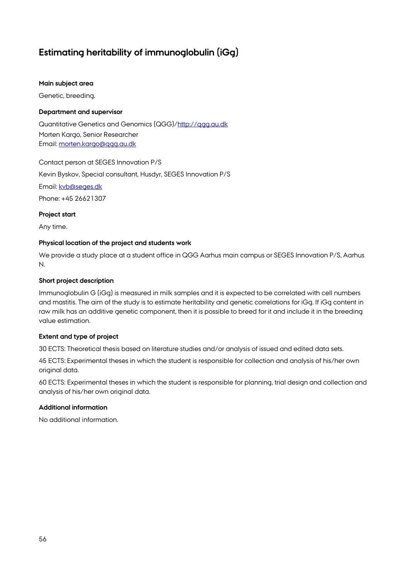# <span id="page-55-0"></span>**Estimating heritability of immunoglobulin (iGg)**

#### **Main subject area**

Genetic, breeding.

# **Department and supervisor**

Quantitative Genetics and Genomics (QGG)[/http://qgg.au.dk](http://qgg.au.dk/) Morten Kargo, Senior Researcher Email: [morten.kargo@qgg.au.dk](mailto:morten.kargo@qgg.au.dk)

Contact person at SEGES Innovation P/S

Kevin Byskov, Special consultant, Husdyr, SEGES Innovation P/S

Email: [kvb@seges.dk](mailto:kvb@seges.dk)

Phone: +45 26621307

# **Project start**

Any time.

# **Physical location of the project and students work**

We provide a study place at a student office in QGG Aarhus main campus or SEGES Innovation P/S, Aarhus N.

# **Short project description**

Immunoglobulin G (iGg) is measured in milk samples and it is expected to be correlated with cell numbers and mastitis. The aim of the study is to estimate heritability and genetic correlations for iGg. If iGg content in raw milk has an additive genetic component, then it is possible to breed for it and include it in the breeding value estimation.

# **Extent and type of project**

30 ECTS: Theoretical thesis based on literature studies and/or analysis of issued and edited data sets.

45 ECTS: Experimental theses in which the student is responsible for collection and analysis of his/her own original data.

60 ECTS: Experimental theses in which the student is responsible for planning, trial design and collection and analysis of his/her own original data.

# **Additional information**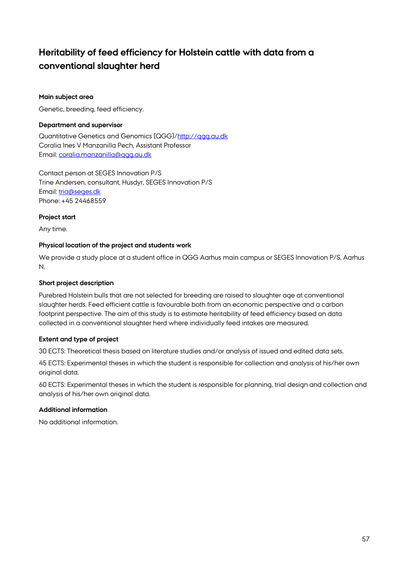# <span id="page-56-0"></span>**Heritability of feed efficiency for Holstein cattle with data from a conventional slaughter herd**

# **Main subject area**

Genetic, breeding, feed efficiency.

# **Department and supervisor**

Quantitative Genetics and Genomics (QGG)[/http://qgg.au.dk](http://qgg.au.dk/) Coralia Ines V Manzanilla Pech, Assistant Professor Email: [coralia.manzanilla@qgg.au.dk](mailto:coralia.manzanilla@qgg.au.dk)

Contact person at SEGES Innovation P/S Trine Andersen, consultant, Husdyr, SEGES Innovation P/S Email: [tria@seges.dk](mailto:tria@seges.dk) Phone: +45 24468559

#### **Project start**

Any time.

#### **Physical location of the project and students work**

We provide a study place at a student office in QGG Aarhus main campus or SEGES Innovation P/S, Aarhus N.

#### **Short project description**

Purebred Holstein bulls that are not selected for breeding are raised to slaughter age at conventional slaughter herds. Feed efficient cattle is favourable both from an economic perspective and a carbon footprint perspective. The aim of this study is to estimate heritability of feed efficiency based on data collected in a conventional slaughter herd where individually feed intakes are measured.

#### **Extent and type of project**

30 ECTS: Theoretical thesis based on literature studies and/or analysis of issued and edited data sets.

45 ECTS: Experimental theses in which the student is responsible for collection and analysis of his/her own original data.

60 ECTS: Experimental theses in which the student is responsible for planning, trial design and collection and analysis of his/her own original data.

# **Additional information**